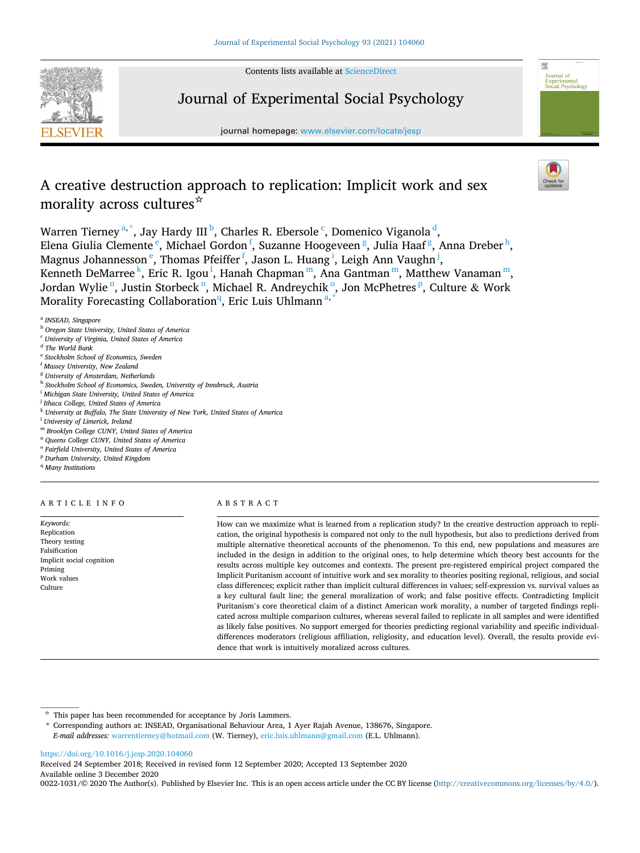Contents lists available at [ScienceDirect](www.sciencedirect.com/science/journal/00221031)



Journal of Experimental Social Psychology

journal homepage: [www.elsevier.com/locate/jesp](https://www.elsevier.com/locate/jesp)

# Journal of Experimental<br>Experimental<br>Social Psychology

# A creative destruction approach to replication: Implicit work and sex morality across cultures<sup>☆</sup>

Warren Tierney<sup>a,\*</sup>, Jay Hardy III<sup>b</sup>, Charles R. Ebersole<sup>c</sup>, Domenico Viganola<sup>d</sup>, Elena Giulia Clemente <sup>e</sup>, Michael Gordon <sup>f</sup>, Suzanne Hoogeveen <sup>g</sup>, Julia Haaf <sup>g</sup>, Anna Dreber <sup>h</sup>, Magnus Johannesson  $\mathrm{e}$ , Thomas Pfeiffer  $\mathrm{f}$ , Jason L. Huang  $\mathrm{i}$ , Leigh Ann Vaughn  $\mathrm{j}$ , Kenneth DeMarree<sup>k</sup>, Eric R. Igou<sup>1</sup>, Hanah Chapman<sup>m</sup>, Ana Gantman<sup>m</sup>, Matthew Vanaman<sup>m</sup>, Jordan Wylie<sup>n</sup>, Justin Storbeck<sup>n</sup>, Michael R. Andreychik<sup>o</sup>, Jon McPhetres<sup>p</sup>, Culture & Work Morality Forecasting Collaboration<sup>q</sup>, Eric Luis Uhlmann<sup>a,\*</sup>

<sup>a</sup> *INSEAD, Singapore* 

- <sup>b</sup> *Oregon State University, United States of America*
- <sup>c</sup> *University of Virginia, United States of America*
- <sup>d</sup> *The World Bank*
- <sup>e</sup> *Stockholm School of Economics, Sweden*
- <sup>f</sup> *Massey University, New Zealand*
- <sup>g</sup> *University of Amsterdam, Netherlands*
- <sup>h</sup> *Stockholm School of Economics, Sweden, University of Innsbruck, Austria*
- <sup>i</sup> *Michigan State University, United States of America*
- <sup>j</sup> *Ithaca College, United States of America*
- <sup>k</sup> *University at Buffalo, The State University of New York, United States of America*
- <sup>l</sup> *University of Limerick, Ireland*
- <sup>m</sup> *Brooklyn College CUNY, United States of America*
- <sup>n</sup> *Queens College CUNY, United States of America*
- <sup>o</sup> *Fairfield University, United States of America* <sup>p</sup> *Durham University, United Kingdom*
- <sup>q</sup> *Many Institutions*

# ARTICLE INFO

*Keywords:*  Replication Theory testing Falsification Implicit social cognition Priming Work values Culture

# ABSTRACT

How can we maximize what is learned from a replication study? In the creative destruction approach to replication, the original hypothesis is compared not only to the null hypothesis, but also to predictions derived from multiple alternative theoretical accounts of the phenomenon. To this end, new populations and measures are included in the design in addition to the original ones, to help determine which theory best accounts for the results across multiple key outcomes and contexts. The present pre-registered empirical project compared the Implicit Puritanism account of intuitive work and sex morality to theories positing regional, religious, and social class differences; explicit rather than implicit cultural differences in values; self-expression vs. survival values as a key cultural fault line; the general moralization of work; and false positive effects. Contradicting Implicit Puritanism's core theoretical claim of a distinct American work morality, a number of targeted findings replicated across multiple comparison cultures, whereas several failed to replicate in all samples and were identified as likely false positives. No support emerged for theories predicting regional variability and specific individualdifferences moderators (religious affiliation, religiosity, and education level). Overall, the results provide evidence that work is intuitively moralized across cultures.

 $*$  This paper has been recommended for acceptance by Joris Lammers.

# <https://doi.org/10.1016/j.jesp.2020.104060>

Available online 3 December 2020 0022-1031/© 2020 The Author(s). Published by Elsevier Inc. This is an open access article under the CC BY license [\(http://creativecommons.org/licenses/by/4.0/\)](http://creativecommons.org/licenses/by/4.0/). Received 24 September 2018; Received in revised form 12 September 2020; Accepted 13 September 2020



<sup>\*</sup> Corresponding authors at: INSEAD, Organisational Behaviour Area, 1 Ayer Rajah Avenue, 138676, Singapore. *E-mail addresses:* [warrentierney@hotmail.com](mailto:warrentierney@hotmail.com) (W. Tierney), [eric.luis.uhlmann@gmail.com](mailto:eric.luis.uhlmann@gmail.com) (E.L. Uhlmann).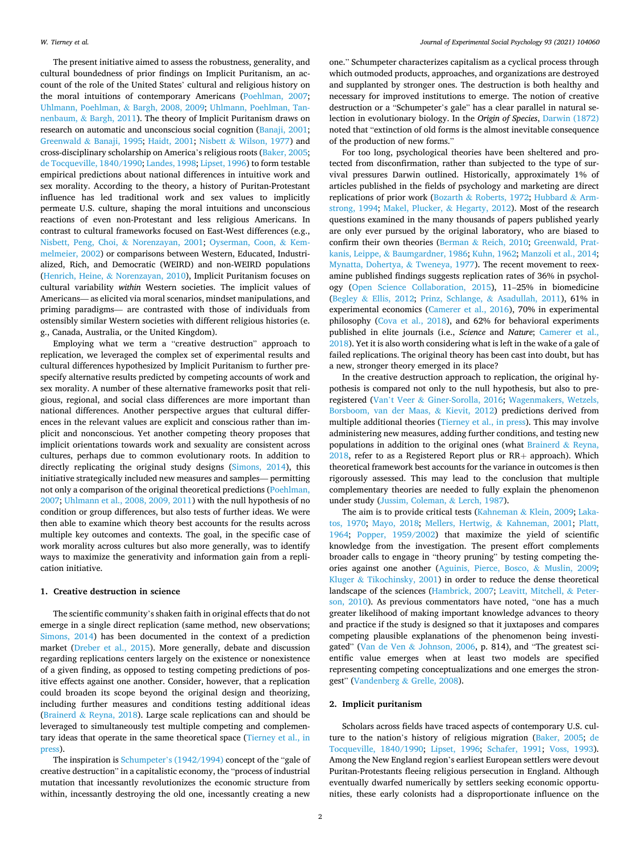The present initiative aimed to assess the robustness, generality, and cultural boundedness of prior findings on Implicit Puritanism, an account of the role of the United States' cultural and religious history on the moral intuitions of contemporary Americans ([Poehlman, 2007](#page-17-0); [Uhlmann, Poehlman,](#page-17-0) & Bargh, 2008, 2009; [Uhlmann, Poehlman, Tan](#page-17-0)nenbaum, & [Bargh, 2011](#page-17-0)). The theory of Implicit Puritanism draws on research on automatic and unconscious social cognition ([Banaji, 2001](#page-15-0); Greenwald & [Banaji, 1995;](#page-16-0) [Haidt, 2001;](#page-16-0) Nisbett & [Wilson, 1977\)](#page-17-0) and cross-disciplinary scholarship on America's religious roots [\(Baker, 2005](#page-15-0); [de Tocqueville, 1840/1990](#page-15-0); [Landes, 1998; Lipset, 1996](#page-16-0)) to form testable empirical predictions about national differences in intuitive work and sex morality. According to the theory, a history of Puritan-Protestant influence has led traditional work and sex values to implicitly permeate U.S. culture, shaping the moral intuitions and unconscious reactions of even non-Protestant and less religious Americans. In contrast to cultural frameworks focused on East-West differences (e.g., [Nisbett, Peng, Choi,](#page-17-0) & Norenzayan, 2001; [Oyserman, Coon,](#page-17-0) & Kem[melmeier, 2002](#page-17-0)) or comparisons between Western, Educated, Industrialized, Rich, and Democratic (WEIRD) and non-WEIRD populations (Henrich, Heine, & [Norenzayan, 2010\)](#page-16-0), Implicit Puritanism focuses on cultural variability *within* Western societies. The implicit values of Americans— as elicited via moral scenarios, mindset manipulations, and priming paradigms— are contrasted with those of individuals from ostensibly similar Western societies with different religious histories (e. g., Canada, Australia, or the United Kingdom).

Employing what we term a "creative destruction" approach to replication, we leveraged the complex set of experimental results and cultural differences hypothesized by Implicit Puritanism to further prespecify alternative results predicted by competing accounts of work and sex morality. A number of these alternative frameworks posit that religious, regional, and social class differences are more important than national differences. Another perspective argues that cultural differences in the relevant values are explicit and conscious rather than implicit and nonconscious. Yet another competing theory proposes that implicit orientations towards work and sexuality are consistent across cultures, perhaps due to common evolutionary roots. In addition to directly replicating the original study designs ([Simons, 2014](#page-17-0)), this initiative strategically included new measures and samples— permitting not only a comparison of the original theoretical predictions [\(Poehlman,](#page-17-0)  [2007; Uhlmann et al., 2008, 2009, 2011\)](#page-17-0) with the null hypothesis of no condition or group differences, but also tests of further ideas. We were then able to examine which theory best accounts for the results across multiple key outcomes and contexts. The goal, in the specific case of work morality across cultures but also more generally, was to identify ways to maximize the generativity and information gain from a replication initiative.

# **1. Creative destruction in science**

The scientific community's shaken faith in original effects that do not emerge in a single direct replication (same method, new observations; [Simons, 2014](#page-17-0)) has been documented in the context of a prediction market [\(Dreber et al., 2015](#page-16-0)). More generally, debate and discussion regarding replications centers largely on the existence or nonexistence of a given finding, as opposed to testing competing predictions of positive effects against one another. Consider, however, that a replication could broaden its scope beyond the original design and theorizing, including further measures and conditions testing additional ideas (Brainerd & [Reyna, 2018](#page-15-0)). Large scale replications can and should be leveraged to simultaneously test multiple competing and complementary ideas that operate in the same theoretical space ([Tierney et al., in](#page-17-0)  [press](#page-17-0)).

The inspiration is Schumpeter'[s \(1942/1994\)](#page-17-0) concept of the "gale of creative destruction" in a capitalistic economy, the "process of industrial mutation that incessantly revolutionizes the economic structure from within, incessantly destroying the old one, incessantly creating a new

one." Schumpeter characterizes capitalism as a cyclical process through which outmoded products, approaches, and organizations are destroyed and supplanted by stronger ones. The destruction is both healthy and necessary for improved institutions to emerge. The notion of creative destruction or a "Schumpeter's gale" has a clear parallel in natural selection in evolutionary biology. In the *Origin of Species*, [Darwin \(1872\)](#page-15-0)  noted that "extinction of old forms is the almost inevitable consequence of the production of new forms."

For too long, psychological theories have been sheltered and protected from disconfirmation, rather than subjected to the type of survival pressures Darwin outlined. Historically, approximately 1% of articles published in the fields of psychology and marketing are direct replications of prior work (Bozarth & [Roberts, 1972](#page-15-0); [Hubbard](#page-16-0) & Arm[strong, 1994;](#page-16-0) [Makel, Plucker,](#page-16-0) & Hegarty, 2012). Most of the research questions examined in the many thousands of papers published yearly are only ever pursued by the original laboratory, who are biased to confirm their own theories (Berman & [Reich, 2010;](#page-15-0) [Greenwald, Prat](#page-16-0)kanis, Leippe, & [Baumgardner, 1986](#page-16-0); [Kuhn, 1962; Manzoli et al., 2014](#page-16-0); [Mynatta, Dohertya,](#page-17-0) & Tweneya, 1977). The recent movement to reexamine published findings suggests replication rates of 36% in psychology ([Open Science Collaboration, 2015](#page-17-0)), 11–25% in biomedicine (Begley & [Ellis, 2012;](#page-15-0) [Prinz, Schlange,](#page-17-0) & Asadullah, 2011), 61% in experimental economics [\(Camerer et al., 2016\)](#page-15-0), 70% in experimental philosophy ([Cova et al., 2018\)](#page-15-0), and 62% for behavioral experiments published in elite journals (i.e., *Science* and *Nature*; [Camerer et al.,](#page-15-0)  [2018\)](#page-15-0). Yet it is also worth considering what is left in the wake of a gale of failed replications. The original theory has been cast into doubt, but has a new, stronger theory emerged in its place?

In the creative destruction approach to replication, the original hypothesis is compared not only to the null hypothesis, but also to preregistered (Van't Veer & [Giner-Sorolla, 2016](#page-17-0); [Wagenmakers, Wetzels,](#page-17-0)  [Borsboom, van der Maas,](#page-17-0) & Kievit, 2012) predictions derived from multiple additional theories [\(Tierney et al., in press](#page-17-0)). This may involve administering new measures, adding further conditions, and testing new populations in addition to the original ones (what [Brainerd](#page-15-0)  $\&$  Reyna, [2018,](#page-15-0) refer to as a Registered Report plus or RR+ approach). Which theoretical framework best accounts for the variance in outcomes is then rigorously assessed. This may lead to the conclusion that multiple complementary theories are needed to fully explain the phenomenon under study [\(Jussim, Coleman,](#page-16-0) & Lerch, 1987).

The aim is to provide critical tests (Kahneman & [Klein, 2009;](#page-16-0) [Laka](#page-16-0)[tos, 1970;](#page-16-0) [Mayo, 2018;](#page-16-0) [Mellers, Hertwig,](#page-16-0) & Kahneman, 2001; [Platt,](#page-17-0)  [1964;](#page-17-0) [Popper, 1959/2002](#page-17-0)) that maximize the yield of scientific knowledge from the investigation. The present effort complements broader calls to engage in "theory pruning" by testing competing theories against one another ([Aguinis, Pierce, Bosco,](#page-15-0) & Muslin, 2009; Kluger & [Tikochinsky, 2001\)](#page-16-0) in order to reduce the dense theoretical landscape of the sciences ([Hambrick, 2007;](#page-16-0) [Leavitt, Mitchell,](#page-16-0) & Peter[son, 2010](#page-16-0)). As previous commentators have noted, "one has a much greater likelihood of making important knowledge advances to theory and practice if the study is designed so that it juxtaposes and compares competing plausible explanations of the phenomenon being investigated" (Van de Ven & [Johnson, 2006](#page-17-0), p. 814), and "The greatest scientific value emerges when at least two models are specified representing competing conceptualizations and one emerges the strongest" [\(Vandenberg](#page-17-0) & Grelle, 2008).

#### **2. Implicit puritanism**

Scholars across fields have traced aspects of contemporary U.S. culture to the nation's history of religious migration ([Baker, 2005](#page-15-0); [de](#page-15-0)  [Tocqueville, 1840/1990](#page-15-0); [Lipset, 1996;](#page-16-0) [Schafer, 1991;](#page-17-0) [Voss, 1993](#page-17-0)). Among the New England region's earliest European settlers were devout Puritan-Protestants fleeing religious persecution in England. Although eventually dwarfed numerically by settlers seeking economic opportunities, these early colonists had a disproportionate influence on the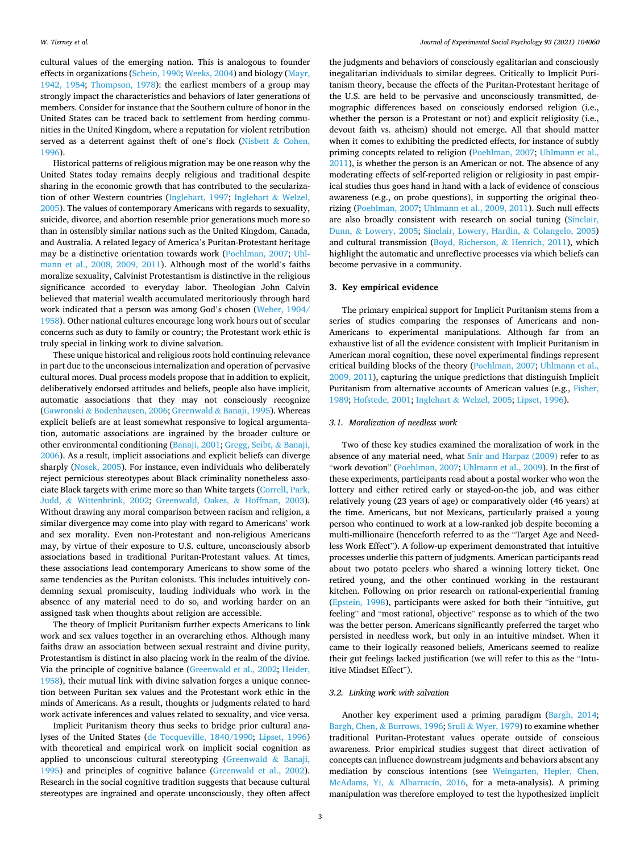cultural values of the emerging nation. This is analogous to founder effects in organizations [\(Schein, 1990](#page-17-0); [Weeks, 2004](#page-17-0)) and biology [\(Mayr,](#page-16-0)  [1942, 1954](#page-16-0); [Thompson, 1978\)](#page-17-0): the earliest members of a group may strongly impact the characteristics and behaviors of later generations of members. Consider for instance that the Southern culture of honor in the United States can be traced back to settlement from herding communities in the United Kingdom, where a reputation for violent retribution served as a deterrent against theft of one's flock [\(Nisbett](#page-17-0) & Cohen, [1996\)](#page-17-0).

Historical patterns of religious migration may be one reason why the United States today remains deeply religious and traditional despite sharing in the economic growth that has contributed to the secularization of other Western countries [\(Inglehart, 1997;](#page-16-0) [Inglehart](#page-16-0) & Welzel, [2005\)](#page-16-0). The values of contemporary Americans with regards to sexuality, suicide, divorce, and abortion resemble prior generations much more so than in ostensibly similar nations such as the United Kingdom, Canada, and Australia. A related legacy of America's Puritan-Protestant heritage may be a distinctive orientation towards work [\(Poehlman, 2007](#page-17-0); [Uhl](#page-17-0)[mann et al., 2008, 2009, 2011\)](#page-17-0). Although most of the world's faiths moralize sexuality, Calvinist Protestantism is distinctive in the religious significance accorded to everyday labor. Theologian John Calvin believed that material wealth accumulated meritoriously through hard work indicated that a person was among God's chosen [\(Weber, 1904/](#page-17-0)  [1958\)](#page-17-0). Other national cultures encourage long work hours out of secular concerns such as duty to family or country; the Protestant work ethic is truly special in linking work to divine salvation.

These unique historical and religious roots hold continuing relevance in part due to the unconscious internalization and operation of pervasive cultural mores. Dual process models propose that in addition to explicit, deliberatively endorsed attitudes and beliefs, people also have implicit, automatic associations that they may not consciously recognize (Gawronski & [Bodenhausen, 2006](#page-16-0); Greenwald & [Banaji, 1995\)](#page-16-0). Whereas explicit beliefs are at least somewhat responsive to logical argumentation, automatic associations are ingrained by the broader culture or other environmental conditioning ([Banaji, 2001](#page-15-0); [Gregg, Seibt,](#page-16-0) & Banaji, [2006\)](#page-16-0). As a result, implicit associations and explicit beliefs can diverge sharply [\(Nosek, 2005](#page-17-0)). For instance, even individuals who deliberately reject pernicious stereotypes about Black criminality nonetheless associate Black targets with crime more so than White targets [\(Correll, Park,](#page-15-0)  Judd, & [Wittenbrink, 2002;](#page-15-0) [Greenwald, Oakes,](#page-16-0) & Hoffman, 2003). Without drawing any moral comparison between racism and religion, a similar divergence may come into play with regard to Americans' work and sex morality. Even non-Protestant and non-religious Americans may, by virtue of their exposure to U.S. culture, unconsciously absorb associations based in traditional Puritan-Protestant values. At times, these associations lead contemporary Americans to show some of the same tendencies as the Puritan colonists. This includes intuitively condemning sexual promiscuity, lauding individuals who work in the absence of any material need to do so, and working harder on an assigned task when thoughts about religion are accessible.

The theory of Implicit Puritanism further expects Americans to link work and sex values together in an overarching ethos. Although many faiths draw an association between sexual restraint and divine purity, Protestantism is distinct in also placing work in the realm of the divine. Via the principle of cognitive balance ([Greenwald et al., 2002;](#page-16-0) [Heider,](#page-16-0)  [1958\)](#page-16-0), their mutual link with divine salvation forges a unique connection between Puritan sex values and the Protestant work ethic in the minds of Americans. As a result, thoughts or judgments related to hard work activate inferences and values related to sexuality, and vice versa.

Implicit Puritanism theory thus seeks to bridge prior cultural analyses of the United States [\(de Tocqueville, 1840/1990;](#page-15-0) [Lipset, 1996\)](#page-16-0) with theoretical and empirical work on implicit social cognition as applied to unconscious cultural stereotyping ([Greenwald](#page-16-0)  $\&$  Banaji, [1995\)](#page-16-0) and principles of cognitive balance [\(Greenwald et al., 2002](#page-16-0)). Research in the social cognitive tradition suggests that because cultural stereotypes are ingrained and operate unconsciously, they often affect

the judgments and behaviors of consciously egalitarian and consciously inegalitarian individuals to similar degrees. Critically to Implicit Puritanism theory, because the effects of the Puritan-Protestant heritage of the U.S. are held to be pervasive and unconsciously transmitted, demographic differences based on consciously endorsed religion (i.e., whether the person is a Protestant or not) and explicit religiosity (i.e., devout faith vs. atheism) should not emerge. All that should matter when it comes to exhibiting the predicted effects, for instance of subtly priming concepts related to religion ([Poehlman, 2007;](#page-17-0) [Uhlmann et al.,](#page-17-0)  [2011\)](#page-17-0), is whether the person is an American or not. The absence of any moderating effects of self-reported religion or religiosity in past empirical studies thus goes hand in hand with a lack of evidence of conscious awareness (e.g., on probe questions), in supporting the original theorizing [\(Poehlman, 2007;](#page-17-0) [Uhlmann et al., 2009, 2011](#page-17-0)). Such null effects are also broadly consistent with research on social tuning ([Sinclair,](#page-17-0)  Dunn, & [Lowery, 2005](#page-17-0); [Sinclair, Lowery, Hardin,](#page-17-0) & Colangelo, 2005) and cultural transmission ([Boyd, Richerson,](#page-15-0) & Henrich, 2011), which highlight the automatic and unreflective processes via which beliefs can become pervasive in a community.

# **3. Key empirical evidence**

The primary empirical support for Implicit Puritanism stems from a series of studies comparing the responses of Americans and non-Americans to experimental manipulations. Although far from an exhaustive list of all the evidence consistent with Implicit Puritanism in American moral cognition, these novel experimental findings represent critical building blocks of the theory ([Poehlman, 2007](#page-17-0); [Uhlmann et al.,](#page-17-0)  [2009, 2011](#page-17-0)), capturing the unique predictions that distinguish Implicit Puritanism from alternative accounts of American values (e.g., [Fisher,](#page-16-0)  [1989; Hofstede, 2001;](#page-16-0) Inglehart & [Welzel, 2005; Lipset, 1996\)](#page-16-0).

#### *3.1. Moralization of needless work*

Two of these key studies examined the moralization of work in the absence of any material need, what [Snir and Harpaz \(2009\)](#page-17-0) refer to as "work devotion" ([Poehlman, 2007; Uhlmann et al., 2009](#page-17-0)). In the first of these experiments, participants read about a postal worker who won the lottery and either retired early or stayed-on-the job, and was either relatively young (23 years of age) or comparatively older (46 years) at the time. Americans, but not Mexicans, particularly praised a young person who continued to work at a low-ranked job despite becoming a multi-millionaire (henceforth referred to as the "Target Age and Needless Work Effect"). A follow-up experiment demonstrated that intuitive processes underlie this pattern of judgments. American participants read about two potato peelers who shared a winning lottery ticket. One retired young, and the other continued working in the restaurant kitchen. Following on prior research on rational-experiential framing ([Epstein, 1998\)](#page-16-0), participants were asked for both their "intuitive, gut feeling" and "most rational, objective" response as to which of the two was the better person. Americans significantly preferred the target who persisted in needless work, but only in an intuitive mindset. When it came to their logically reasoned beliefs, Americans seemed to realize their gut feelings lacked justification (we will refer to this as the "Intuitive Mindset Effect").

#### *3.2. Linking work with salvation*

Another key experiment used a priming paradigm ([Bargh, 2014](#page-15-0); Bargh, Chen, & [Burrows, 1996;](#page-15-0) Srull & [Wyer, 1979\)](#page-17-0) to examine whether traditional Puritan-Protestant values operate outside of conscious awareness. Prior empirical studies suggest that direct activation of concepts can influence downstream judgments and behaviors absent any mediation by conscious intentions (see [Weingarten, Hepler, Chen,](#page-17-0)  McAdams, Yi, & [Albarracín, 2016,](#page-17-0) for a meta-analysis). A priming manipulation was therefore employed to test the hypothesized implicit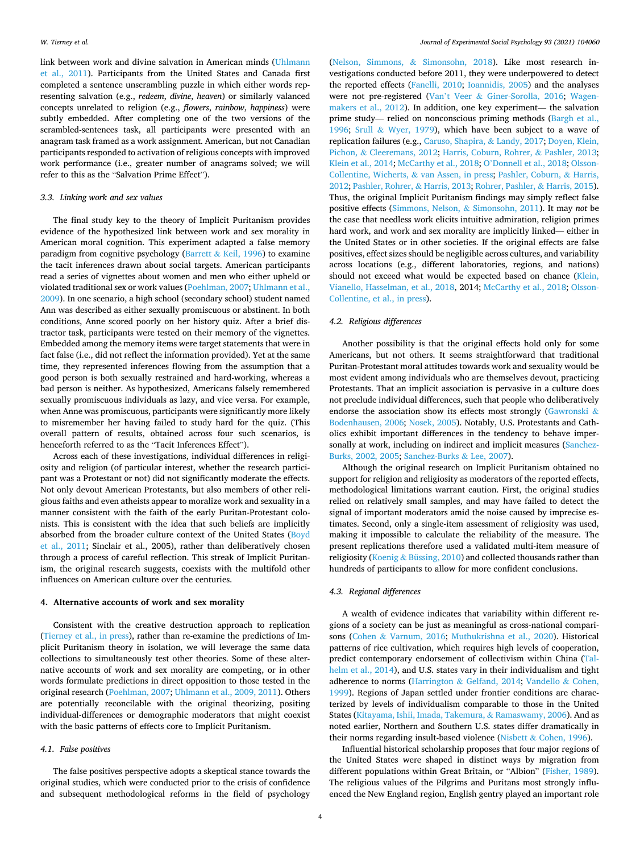link between work and divine salvation in American minds [\(Uhlmann](#page-17-0)  [et al., 2011\)](#page-17-0). Participants from the United States and Canada first completed a sentence unscrambling puzzle in which either words representing salvation (e.g., *redeem*, *divine*, *heaven*) or similarly valanced concepts unrelated to religion (e.g., *flowers*, *rainbow*, *happiness*) were subtly embedded. After completing one of the two versions of the scrambled-sentences task, all participants were presented with an anagram task framed as a work assignment. American, but not Canadian participants responded to activation of religious concepts with improved work performance (i.e., greater number of anagrams solved; we will refer to this as the "Salvation Prime Effect").

# *3.3. Linking work and sex values*

The final study key to the theory of Implicit Puritanism provides evidence of the hypothesized link between work and sex morality in American moral cognition. This experiment adapted a false memory paradigm from cognitive psychology (Barrett & [Keil, 1996](#page-15-0)) to examine the tacit inferences drawn about social targets. American participants read a series of vignettes about women and men who either upheld or violated traditional sex or work values ([Poehlman, 2007; Uhlmann et al.,](#page-17-0)  [2009\)](#page-17-0). In one scenario, a high school (secondary school) student named Ann was described as either sexually promiscuous or abstinent. In both conditions, Anne scored poorly on her history quiz. After a brief distractor task, participants were tested on their memory of the vignettes. Embedded among the memory items were target statements that were in fact false (i.e., did not reflect the information provided). Yet at the same time, they represented inferences flowing from the assumption that a good person is both sexually restrained and hard-working, whereas a bad person is neither. As hypothesized, Americans falsely remembered sexually promiscuous individuals as lazy, and vice versa. For example, when Anne was promiscuous, participants were significantly more likely to misremember her having failed to study hard for the quiz. (This overall pattern of results, obtained across four such scenarios, is henceforth referred to as the "Tacit Inferences Effect").

Across each of these investigations, individual differences in religiosity and religion (of particular interest, whether the research participant was a Protestant or not) did not significantly moderate the effects. Not only devout American Protestants, but also members of other religious faiths and even atheists appear to moralize work and sexuality in a manner consistent with the faith of the early Puritan-Protestant colonists. This is consistent with the idea that such beliefs are implicitly absorbed from the broader culture context of the United States ([Boyd](#page-15-0)  [et al., 2011](#page-15-0); Sinclair et al., 2005), rather than deliberatively chosen through a process of careful reflection. This streak of Implicit Puritanism, the original research suggests, coexists with the multifold other influences on American culture over the centuries.

# **4. Alternative accounts of work and sex morality**

Consistent with the creative destruction approach to replication ([Tierney et al., in press\)](#page-17-0), rather than re-examine the predictions of Implicit Puritanism theory in isolation, we will leverage the same data collections to simultaneously test other theories. Some of these alternative accounts of work and sex morality are competing, or in other words formulate predictions in direct opposition to those tested in the original research [\(Poehlman, 2007; Uhlmann et al., 2009, 2011](#page-17-0)). Others are potentially reconcilable with the original theorizing, positing individual-differences or demographic moderators that might coexist with the basic patterns of effects core to Implicit Puritanism.

# *4.1. False positives*

The false positives perspective adopts a skeptical stance towards the original studies, which were conducted prior to the crisis of confidence and subsequent methodological reforms in the field of psychology

([Nelson, Simmons,](#page-17-0) & Simonsohn, 2018). Like most research investigations conducted before 2011, they were underpowered to detect the reported effects ([Fanelli, 2010](#page-16-0); [Ioannidis, 2005](#page-16-0)) and the analyses were not pre-registered (Van't Veer & [Giner-Sorolla, 2016;](#page-17-0) [Wagen](#page-17-0)[makers et al., 2012](#page-17-0)). In addition, one key experiment— the salvation prime study— relied on nonconscious priming methods [\(Bargh et al.,](#page-15-0)  [1996;](#page-15-0) Srull & [Wyer, 1979](#page-17-0)), which have been subject to a wave of replication failures (e.g., [Caruso, Shapira,](#page-15-0) & Landy, 2017; [Doyen, Klein,](#page-16-0)  Pichon, & [Cleeremans, 2012; Harris, Coburn, Rohrer,](#page-16-0) & Pashler, 2013; [Klein et al., 2014](#page-16-0); [McCarthy et al., 2018](#page-16-0); O'[Donnell et al., 2018; Olsson-](#page-17-0)[Collentine, Wicherts,](#page-17-0) & van Assen, in press; [Pashler, Coburn,](#page-17-0) & Harris, [2012; Pashler, Rohrer,](#page-17-0) & Harris, 2013; [Rohrer, Pashler,](#page-17-0) & Harris, 2015). Thus, the original Implicit Puritanism findings may simply reflect false positive effects [\(Simmons, Nelson,](#page-17-0) & Simonsohn, 2011). It may *not* be the case that needless work elicits intuitive admiration, religion primes hard work, and work and sex morality are implicitly linked— either in the United States or in other societies. If the original effects are false positives, effect sizes should be negligible across cultures, and variability across locations (e.g., different laboratories, regions, and nations) should not exceed what would be expected based on chance [\(Klein,](#page-16-0)  [Vianello, Hasselman, et al., 2018](#page-16-0), 2014; [McCarthy et al., 2018](#page-16-0); [Olsson-](#page-17-0)[Collentine, et al., in press\)](#page-17-0).

# *4.2. Religious differences*

Another possibility is that the original effects hold only for some Americans, but not others. It seems straightforward that traditional Puritan-Protestant moral attitudes towards work and sexuality would be most evident among individuals who are themselves devout, practicing Protestants. That an implicit association is pervasive in a culture does not preclude individual differences, such that people who deliberatively endorse the association show its effects most strongly [\(Gawronski](#page-16-0) & [Bodenhausen, 2006](#page-16-0); [Nosek, 2005\)](#page-17-0). Notably, U.S. Protestants and Catholics exhibit important differences in the tendency to behave imper-sonally at work, including on indirect and implicit measures ([Sanchez-](#page-17-0)[Burks, 2002, 2005; Sanchez-Burks](#page-17-0) & Lee, 2007).

Although the original research on Implicit Puritanism obtained no support for religion and religiosity as moderators of the reported effects, methodological limitations warrant caution. First, the original studies relied on relatively small samples, and may have failed to detect the signal of important moderators amid the noise caused by imprecise estimates. Second, only a single-item assessment of religiosity was used, making it impossible to calculate the reliability of the measure. The present replications therefore used a validated multi-item measure of religiosity (Koenig & [Büssing, 2010](#page-16-0)) and collected thousands rather than hundreds of participants to allow for more confident conclusions.

# *4.3. Regional differences*

A wealth of evidence indicates that variability within different regions of a society can be just as meaningful as cross-national comparisons (Cohen & [Varnum, 2016;](#page-15-0) [Muthukrishna et al., 2020\)](#page-17-0). Historical patterns of rice cultivation, which requires high levels of cooperation, predict contemporary endorsement of collectivism within China ([Tal](#page-17-0)[helm et al., 2014\)](#page-17-0), and U.S. states vary in their individualism and tight adherence to norms (Harrington & [Gelfand, 2014;](#page-16-0) [Vandello](#page-17-0) & Cohen, [1999\)](#page-17-0). Regions of Japan settled under frontier conditions are characterized by levels of individualism comparable to those in the United States ([Kitayama, Ishii, Imada, Takemura,](#page-16-0) & Ramaswamy, 2006). And as noted earlier, Northern and Southern U.S. states differ dramatically in their norms regarding insult-based violence (Nisbett & [Cohen, 1996\)](#page-17-0).

Influential historical scholarship proposes that four major regions of the United States were shaped in distinct ways by migration from different populations within Great Britain, or "Albion" ([Fisher, 1989](#page-16-0)). The religious values of the Pilgrims and Puritans most strongly influenced the New England region, English gentry played an important role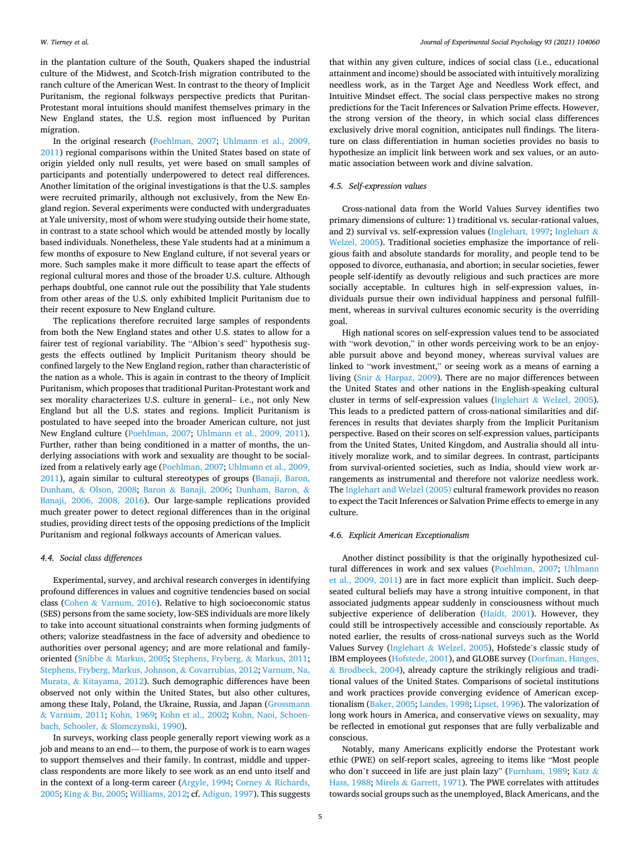in the plantation culture of the South, Quakers shaped the industrial culture of the Midwest, and Scotch-Irish migration contributed to the ranch culture of the American West. In contrast to the theory of Implicit Puritanism, the regional folkways perspective predicts that Puritan-Protestant moral intuitions should manifest themselves primary in the New England states, the U.S. region most influenced by Puritan migration.

In the original research ([Poehlman, 2007;](#page-17-0) [Uhlmann et al., 2009,](#page-17-0)  [2011\)](#page-17-0) regional comparisons within the United States based on state of origin yielded only null results, yet were based on small samples of participants and potentially underpowered to detect real differences. Another limitation of the original investigations is that the U.S. samples were recruited primarily, although not exclusively, from the New England region. Several experiments were conducted with undergraduates at Yale university, most of whom were studying outside their home state, in contrast to a state school which would be attended mostly by locally based individuals. Nonetheless, these Yale students had at a minimum a few months of exposure to New England culture, if not several years or more. Such samples make it more difficult to tease apart the effects of regional cultural mores and those of the broader U.S. culture. Although perhaps doubtful, one cannot rule out the possibility that Yale students from other areas of the U.S. only exhibited Implicit Puritanism due to their recent exposure to New England culture.

The replications therefore recruited large samples of respondents from both the New England states and other U.S. states to allow for a fairer test of regional variability. The "Albion's seed" hypothesis suggests the effects outlined by Implicit Puritanism theory should be confined largely to the New England region, rather than characteristic of the nation as a whole. This is again in contrast to the theory of Implicit Puritanism, which proposes that traditional Puritan-Protestant work and sex morality characterizes U.S. culture in general– i.e., not only New England but all the U.S. states and regions. Implicit Puritanism is postulated to have seeped into the broader American culture, not just New England culture [\(Poehlman, 2007;](#page-17-0) [Uhlmann et al., 2009, 2011](#page-17-0)). Further, rather than being conditioned in a matter of months, the underlying associations with work and sexuality are thought to be socialized from a relatively early age [\(Poehlman, 2007](#page-17-0); [Uhlmann et al., 2009,](#page-17-0)  [2011\)](#page-17-0), again similar to cultural stereotypes of groups ([Banaji, Baron,](#page-15-0)  Dunham, & [Olson, 2008;](#page-15-0) Baron & [Banaji, 2006;](#page-15-0) [Dunham, Baron,](#page-16-0) & [Banaji, 2006, 2008, 2016](#page-16-0)). Our large-sample replications provided much greater power to detect regional differences than in the original studies, providing direct tests of the opposing predictions of the Implicit Puritanism and regional folkways accounts of American values.

# *4.4. Social class differences*

Experimental, survey, and archival research converges in identifying profound differences in values and cognitive tendencies based on social class (Cohen & [Varnum, 2016\)](#page-15-0). Relative to high socioeconomic status (SES) persons from the same society, low-SES individuals are more likely to take into account situational constraints when forming judgments of others; valorize steadfastness in the face of adversity and obedience to authorities over personal agency; and are more relational and familyoriented (Snibbe & [Markus, 2005](#page-17-0); [Stephens, Fryberg,](#page-17-0) & Markus, 2011; [Stephens, Fryberg, Markus, Johnson,](#page-17-0) & Covarrubias, 2012; [Varnum, Na,](#page-17-0)  Murata, & [Kitayama, 2012\)](#page-17-0). Such demographic differences have been observed not only within the United States, but also other cultures, among these Italy, Poland, the Ukraine, Russia, and Japan [\(Grossmann](#page-16-0)  & [Varnum, 2011;](#page-16-0) [Kohn, 1969](#page-16-0); [Kohn et al., 2002](#page-16-0); [Kohn, Naoi, Schoen](#page-16-0)bach, Schooler, & [Slomczynski, 1990\)](#page-16-0).

In surveys, working class people generally report viewing work as a job and means to an end— to them, the purpose of work is to earn wages to support themselves and their family. In contrast, middle and upperclass respondents are more likely to see work as an end unto itself and in the context of a long-term career [\(Argyle, 1994;](#page-15-0) Corney & [Richards,](#page-15-0)  [2005;](#page-15-0) King & [Bu, 2005;](#page-16-0) [Williams, 2012;](#page-17-0) cf. [Adigun, 1997\)](#page-15-0). This suggests

that within any given culture, indices of social class (i.e., educational attainment and income) should be associated with intuitively moralizing needless work, as in the Target Age and Needless Work effect, and Intuitive Mindset effect. The social class perspective makes no strong predictions for the Tacit Inferences or Salvation Prime effects. However, the strong version of the theory, in which social class differences exclusively drive moral cognition, anticipates null findings. The literature on class differentiation in human societies provides no basis to hypothesize an implicit link between work and sex values, or an automatic association between work and divine salvation.

#### *4.5. Self-expression values*

Cross-national data from the World Values Survey identifies two primary dimensions of culture: 1) traditional vs. secular-rational values, and 2) survival vs. self-expression values [\(Inglehart, 1997](#page-16-0); [Inglehart](#page-16-0) & [Welzel, 2005](#page-16-0)). Traditional societies emphasize the importance of religious faith and absolute standards for morality, and people tend to be opposed to divorce, euthanasia, and abortion; in secular societies, fewer people self-identify as devoutly religious and such practices are more socially acceptable. In cultures high in self-expression values, individuals pursue their own individual happiness and personal fulfillment, whereas in survival cultures economic security is the overriding goal.

High national scores on self-expression values tend to be associated with "work devotion," in other words perceiving work to be an enjoyable pursuit above and beyond money, whereas survival values are linked to "work investment," or seeing work as a means of earning a living (Snir & [Harpaz, 2009\)](#page-17-0). There are no major differences between the United States and other nations in the English-speaking cultural cluster in terms of self-expression values (Inglehart & [Welzel, 2005](#page-16-0)). This leads to a predicted pattern of cross-national similarities and differences in results that deviates sharply from the Implicit Puritanism perspective. Based on their scores on self-expression values, participants from the United States, United Kingdom, and Australia should all intuitively moralize work, and to similar degrees. In contrast, participants from survival-oriented societies, such as India, should view work arrangements as instrumental and therefore not valorize needless work. The [Inglehart and Welzel \(2005\)](#page-16-0) cultural framework provides no reason to expect the Tacit Inferences or Salvation Prime effects to emerge in any culture.

#### *4.6. Explicit American Exceptionalism*

Another distinct possibility is that the originally hypothesized cultural differences in work and sex values ([Poehlman, 2007](#page-17-0); [Uhlmann](#page-17-0)  [et al., 2009, 2011](#page-17-0)) are in fact more explicit than implicit. Such deepseated cultural beliefs may have a strong intuitive component, in that associated judgments appear suddenly in consciousness without much subjective experience of deliberation [\(Haidt, 2001](#page-16-0)). However, they could still be introspectively accessible and consciously reportable. As noted earlier, the results of cross-national surveys such as the World Values Survey (Inglehart & [Welzel, 2005\)](#page-16-0), Hofstede's classic study of IBM employees ([Hofstede, 2001\)](#page-16-0), and GLOBE survey ([Dorfman, Hanges,](#page-16-0)  & [Brodbeck, 2004\)](#page-16-0), already capture the strikingly religious and traditional values of the United States. Comparisons of societal institutions and work practices provide converging evidence of American exceptionalism [\(Baker, 2005;](#page-15-0) [Landes, 1998](#page-16-0); [Lipset, 1996](#page-16-0)). The valorization of long work hours in America, and conservative views on sexuality, may be reflected in emotional gut responses that are fully verbalizable and conscious.

Notably, many Americans explicitly endorse the Protestant work ethic (PWE) on self-report scales, agreeing to items like "Most people who don't succeed in life are just plain lazy" [\(Furnham, 1989](#page-16-0); [Katz](#page-16-0) & [Hass, 1988](#page-16-0); Mirels & [Garrett, 1971](#page-16-0)). The PWE correlates with attitudes towards social groups such as the unemployed, Black Americans, and the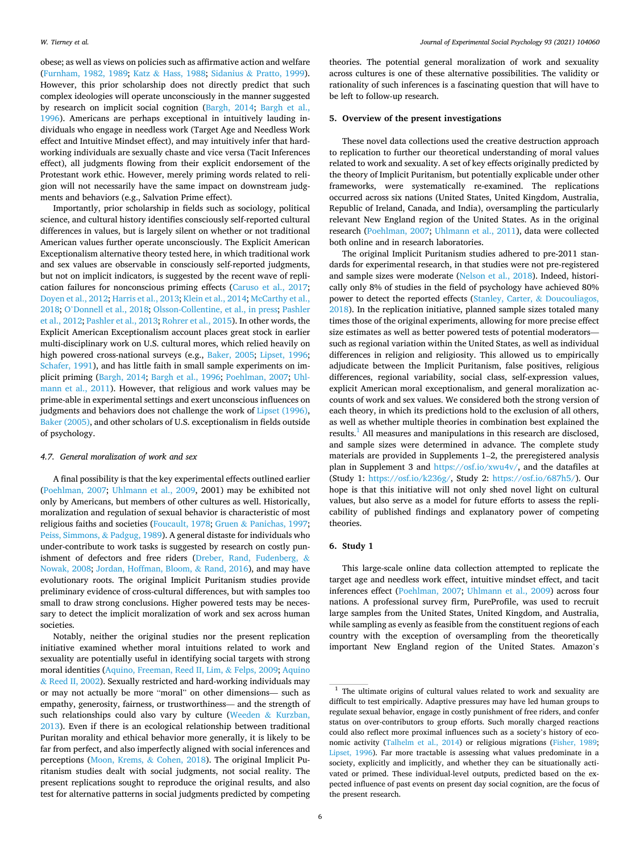obese; as well as views on policies such as affirmative action and welfare ([Furnham, 1982, 1989;](#page-16-0) Katz & [Hass, 1988](#page-16-0); Sidanius & [Pratto, 1999](#page-17-0)). However, this prior scholarship does not directly predict that such complex ideologies will operate unconsciously in the manner suggested by research on implicit social cognition ([Bargh, 2014](#page-15-0); [Bargh et al.,](#page-15-0)  [1996\)](#page-15-0). Americans are perhaps exceptional in intuitively lauding individuals who engage in needless work (Target Age and Needless Work effect and Intuitive Mindset effect), and may intuitively infer that hardworking individuals are sexually chaste and vice versa (Tacit Inferences effect), all judgments flowing from their explicit endorsement of the Protestant work ethic. However, merely priming words related to religion will not necessarily have the same impact on downstream judgments and behaviors (e.g., Salvation Prime effect).

Importantly, prior scholarship in fields such as sociology, political science, and cultural history identifies consciously self-reported cultural differences in values, but is largely silent on whether or not traditional American values further operate unconsciously. The Explicit American Exceptionalism alternative theory tested here, in which traditional work and sex values are observable in consciously self-reported judgments, but not on implicit indicators, is suggested by the recent wave of replication failures for nonconscious priming effects ([Caruso et al., 2017](#page-15-0); [Doyen et al., 2012; Harris et al., 2013; Klein et al., 2014; McCarthy et al.,](#page-16-0)  [2018;](#page-16-0) O'[Donnell et al., 2018](#page-17-0); [Olsson-Collentine, et al., in press](#page-17-0); [Pashler](#page-17-0)  [et al., 2012; Pashler et al., 2013](#page-17-0); [Rohrer et al., 2015\)](#page-17-0). In other words, the Explicit American Exceptionalism account places great stock in earlier multi-disciplinary work on U.S. cultural mores, which relied heavily on high powered cross-national surveys (e.g., [Baker, 2005;](#page-15-0) [Lipset, 1996](#page-16-0); [Schafer, 1991](#page-17-0)), and has little faith in small sample experiments on implicit priming [\(Bargh, 2014;](#page-15-0) [Bargh et al., 1996](#page-15-0); [Poehlman, 2007](#page-17-0); [Uhl](#page-17-0)[mann et al., 2011\)](#page-17-0). However, that religious and work values may be prime-able in experimental settings and exert unconscious influences on judgments and behaviors does not challenge the work of [Lipset \(1996\)](#page-16-0), [Baker \(2005\),](#page-15-0) and other scholars of U.S. exceptionalism in fields outside of psychology.

#### *4.7. General moralization of work and sex*

A final possibility is that the key experimental effects outlined earlier ([Poehlman, 2007](#page-17-0); [Uhlmann et al., 2009,](#page-17-0) 2001) may be exhibited not only by Americans, but members of other cultures as well. Historically, moralization and regulation of sexual behavior is characteristic of most religious faiths and societies ([Foucault, 1978;](#page-16-0) Gruen & [Panichas, 1997](#page-16-0); [Peiss, Simmons,](#page-17-0) & Padgug, 1989). A general distaste for individuals who under-contribute to work tasks is suggested by research on costly punishment of defectors and free riders [\(Dreber, Rand, Fudenberg,](#page-16-0) & [Nowak, 2008;](#page-16-0) [Jordan, Hoffman, Bloom,](#page-16-0) & Rand, 2016), and may have evolutionary roots. The original Implicit Puritanism studies provide preliminary evidence of cross-cultural differences, but with samples too small to draw strong conclusions. Higher powered tests may be necessary to detect the implicit moralization of work and sex across human societies.

Notably, neither the original studies nor the present replication initiative examined whether moral intuitions related to work and sexuality are potentially useful in identifying social targets with strong moral identities [\(Aquino, Freeman, Reed II, Lim,](#page-15-0) & Felps, 2009; [Aquino](#page-15-0)  & [Reed II, 2002\)](#page-15-0). Sexually restricted and hard-working individuals may or may not actually be more "moral" on other dimensions— such as empathy, generosity, fairness, or trustworthiness— and the strength of such relationships could also vary by culture (Weeden  $& Kurzban,$ [2013\)](#page-17-0). Even if there is an ecological relationship between traditional Puritan morality and ethical behavior more generally, it is likely to be far from perfect, and also imperfectly aligned with social inferences and perceptions [\(Moon, Krems,](#page-16-0) & Cohen, 2018). The original Implicit Puritanism studies dealt with social judgments, not social reality. The present replications sought to reproduce the original results, and also test for alternative patterns in social judgments predicted by competing

theories. The potential general moralization of work and sexuality across cultures is one of these alternative possibilities. The validity or rationality of such inferences is a fascinating question that will have to be left to follow-up research.

# **5. Overview of the present investigations**

These novel data collections used the creative destruction approach to replication to further our theoretical understanding of moral values related to work and sexuality. A set of key effects originally predicted by the theory of Implicit Puritanism, but potentially explicable under other frameworks, were systematically re-examined. The replications occurred across six nations (United States, United Kingdom, Australia, Republic of Ireland, Canada, and India), oversampling the particularly relevant New England region of the United States. As in the original research ([Poehlman, 2007;](#page-17-0) [Uhlmann et al., 2011\)](#page-17-0), data were collected both online and in research laboratories.

The original Implicit Puritanism studies adhered to pre-2011 standards for experimental research, in that studies were not pre-registered and sample sizes were moderate ([Nelson et al., 2018](#page-17-0)). Indeed, historically only 8% of studies in the field of psychology have achieved 80% power to detect the reported effects ([Stanley, Carter,](#page-17-0) & Doucouliagos, [2018\)](#page-17-0). In the replication initiative, planned sample sizes totaled many times those of the original experiments, allowing for more precise effect size estimates as well as better powered tests of potential moderators such as regional variation within the United States, as well as individual differences in religion and religiosity. This allowed us to empirically adjudicate between the Implicit Puritanism, false positives, religious differences, regional variability, social class, self-expression values, explicit American moral exceptionalism, and general moralization accounts of work and sex values. We considered both the strong version of each theory, in which its predictions hold to the exclusion of all others, as well as whether multiple theories in combination best explained the results.<sup>1</sup> All measures and manipulations in this research are disclosed, and sample sizes were determined in advance. The complete study materials are provided in Supplements 1–2, the preregistered analysis plan in Supplement 3 and <https://osf.io/xwu4v/>, and the datafiles at (Study 1: [https://osf.io/k236g/,](https://osf.io/k236g/) Study 2: [https://osf.io/687h5/\)](https://osf.io/687h5/). Our hope is that this initiative will not only shed novel light on cultural values, but also serve as a model for future efforts to assess the replicability of published findings and explanatory power of competing theories.

# **6. Study 1**

This large-scale online data collection attempted to replicate the target age and needless work effect, intuitive mindset effect, and tacit inferences effect [\(Poehlman, 2007;](#page-17-0) [Uhlmann et al., 2009](#page-17-0)) across four nations. A professional survey firm, PureProfile, was used to recruit large samples from the United States, United Kingdom, and Australia, while sampling as evenly as feasible from the constituent regions of each country with the exception of oversampling from the theoretically important New England region of the United States. Amazon's

The ultimate origins of cultural values related to work and sexuality are difficult to test empirically. Adaptive pressures may have led human groups to regulate sexual behavior, engage in costly punishment of free riders, and confer status on over-contributors to group efforts. Such morally charged reactions could also reflect more proximal influences such as a society's history of economic activity ([Talhelm et al., 2014\)](#page-17-0) or religious migrations ([Fisher, 1989;](#page-16-0) [Lipset, 1996\)](#page-16-0). Far more tractable is assessing what values predominate in a society, explicitly and implicitly, and whether they can be situationally activated or primed. These individual-level outputs, predicted based on the expected influence of past events on present day social cognition, are the focus of the present research.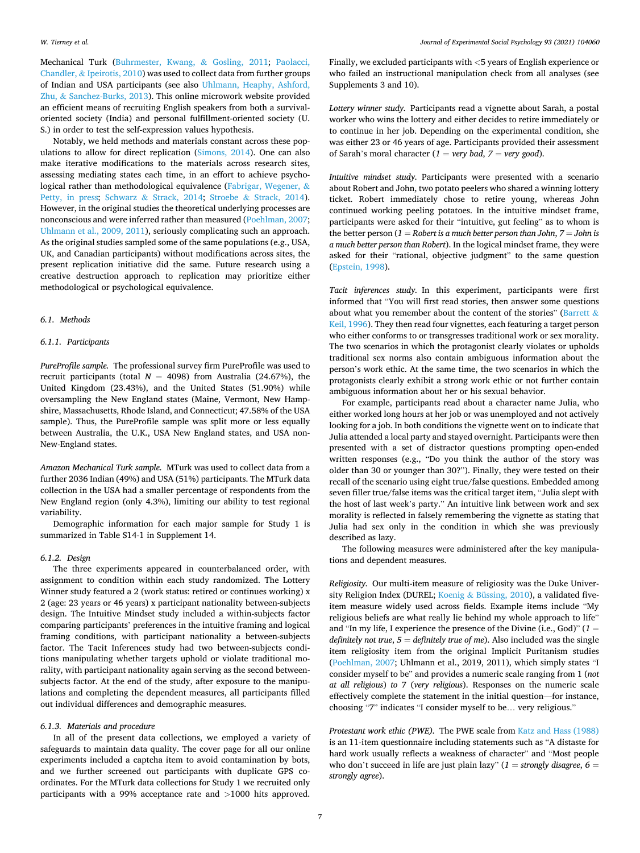Mechanical Turk ([Buhrmester, Kwang,](#page-15-0) & Gosling, 2011; [Paolacci,](#page-17-0)  Chandler, & [Ipeirotis, 2010](#page-17-0)) was used to collect data from further groups of Indian and USA participants (see also [Uhlmann, Heaphy, Ashford,](#page-17-0)  Zhu, & [Sanchez-Burks, 2013](#page-17-0)). This online microwork website provided an efficient means of recruiting English speakers from both a survivaloriented society (India) and personal fulfillment-oriented society (U. S.) in order to test the self-expression values hypothesis.

Notably, we held methods and materials constant across these populations to allow for direct replication ([Simons, 2014\)](#page-17-0). One can also make iterative modifications to the materials across research sites, assessing mediating states each time, in an effort to achieve psychological rather than methodological equivalence ([Fabrigar, Wegener,](#page-16-0) & [Petty, in press](#page-16-0); Schwarz & [Strack, 2014;](#page-17-0) Stroebe & [Strack, 2014](#page-17-0)). However, in the original studies the theoretical underlying processes are nonconscious and were inferred rather than measured [\(Poehlman, 2007](#page-17-0); [Uhlmann et al., 2009, 2011](#page-17-0)), seriously complicating such an approach. As the original studies sampled some of the same populations (e.g., USA, UK, and Canadian participants) without modifications across sites, the present replication initiative did the same. Future research using a creative destruction approach to replication may prioritize either methodological or psychological equivalence.

# *6.1. Methods*

# *6.1.1. Participants*

*PureProfile sample.* The professional survey firm PureProfile was used to recruit participants (total  $N = 4098$ ) from Australia (24.67%), the United Kingdom (23.43%), and the United States (51.90%) while oversampling the New England states (Maine, Vermont, New Hampshire, Massachusetts, Rhode Island, and Connecticut; 47.58% of the USA sample). Thus, the PureProfile sample was split more or less equally between Australia, the U.K., USA New England states, and USA non-New-England states.

*Amazon Mechanical Turk sample.* MTurk was used to collect data from a further 2036 Indian (49%) and USA (51%) participants. The MTurk data collection in the USA had a smaller percentage of respondents from the New England region (only 4.3%), limiting our ability to test regional variability.

Demographic information for each major sample for Study 1 is summarized in Table S14-1 in Supplement 14.

# *6.1.2. Design*

The three experiments appeared in counterbalanced order, with assignment to condition within each study randomized. The Lottery Winner study featured a 2 (work status: retired or continues working) x 2 (age: 23 years or 46 years) x participant nationality between-subjects design. The Intuitive Mindset study included a within-subjects factor comparing participants' preferences in the intuitive framing and logical framing conditions, with participant nationality a between-subjects factor. The Tacit Inferences study had two between-subjects conditions manipulating whether targets uphold or violate traditional morality, with participant nationality again serving as the second betweensubjects factor. At the end of the study, after exposure to the manipulations and completing the dependent measures, all participants filled out individual differences and demographic measures.

# *6.1.3. Materials and procedure*

In all of the present data collections, we employed a variety of safeguards to maintain data quality. The cover page for all our online experiments included a captcha item to avoid contamination by bots, and we further screened out participants with duplicate GPS coordinates. For the MTurk data collections for Study 1 we recruited only participants with a 99% acceptance rate and *>*1000 hits approved.

Finally, we excluded participants with *<*5 years of English experience or who failed an instructional manipulation check from all analyses (see Supplements 3 and 10).

*Lottery winner study.* Participants read a vignette about Sarah, a postal worker who wins the lottery and either decides to retire immediately or to continue in her job. Depending on the experimental condition, she was either 23 or 46 years of age. Participants provided their assessment of Sarah's moral character ( $1 = \text{very bad}, 7 = \text{very good}$ ).

*Intuitive mindset study.* Participants were presented with a scenario about Robert and John, two potato peelers who shared a winning lottery ticket. Robert immediately chose to retire young, whereas John continued working peeling potatoes. In the intuitive mindset frame, participants were asked for their "intuitive, gut feeling" as to whom is the better person (*1* = *Robert is a much better person than John*, *7* = *John is a much better person than Robert*). In the logical mindset frame, they were asked for their "rational, objective judgment" to the same question ([Epstein, 1998\)](#page-16-0).

*Tacit inferences study.* In this experiment, participants were first informed that "You will first read stories, then answer some questions about what you remember about the content of the stories" [\(Barrett](#page-15-0)  $\&$ [Keil, 1996](#page-15-0)). They then read four vignettes, each featuring a target person who either conforms to or transgresses traditional work or sex morality. The two scenarios in which the protagonist clearly violates or upholds traditional sex norms also contain ambiguous information about the person's work ethic. At the same time, the two scenarios in which the protagonists clearly exhibit a strong work ethic or not further contain ambiguous information about her or his sexual behavior.

For example, participants read about a character name Julia, who either worked long hours at her job or was unemployed and not actively looking for a job. In both conditions the vignette went on to indicate that Julia attended a local party and stayed overnight. Participants were then presented with a set of distractor questions prompting open-ended written responses (e.g., "Do you think the author of the story was older than 30 or younger than 30?"). Finally, they were tested on their recall of the scenario using eight true/false questions. Embedded among seven filler true/false items was the critical target item, "Julia slept with the host of last week's party." An intuitive link between work and sex morality is reflected in falsely remembering the vignette as stating that Julia had sex only in the condition in which she was previously described as lazy.

The following measures were administered after the key manipulations and dependent measures.

*Religiosity.* Our multi-item measure of religiosity was the Duke University Religion Index (DUREL; Koenig & [Büssing, 2010\)](#page-16-0), a validated fiveitem measure widely used across fields. Example items include "My religious beliefs are what really lie behind my whole approach to life" and "In my life, I experience the presence of the Divine (i.e., God)" (*1* = *definitely not true*, *5* = *definitely true of me*). Also included was the single item religiosity item from the original Implicit Puritanism studies ([Poehlman, 2007;](#page-17-0) Uhlmann et al., 2019, 2011), which simply states "I consider myself to be" and provides a numeric scale ranging from 1 (*not at all religious*) *to* 7 (*very religious*). Responses on the numeric scale effectively complete the statement in the initial question—for instance, choosing "7" indicates "I consider myself to be… very religious."

*Protestant work ethic (PWE).* The PWE scale from [Katz and Hass \(1988\)](#page-16-0)  is an 11-item questionnaire including statements such as "A distaste for hard work usually reflects a weakness of character" and "Most people who don't succeed in life are just plain lazy" (*1* = *strongly disagree*, *6* = *strongly agree*).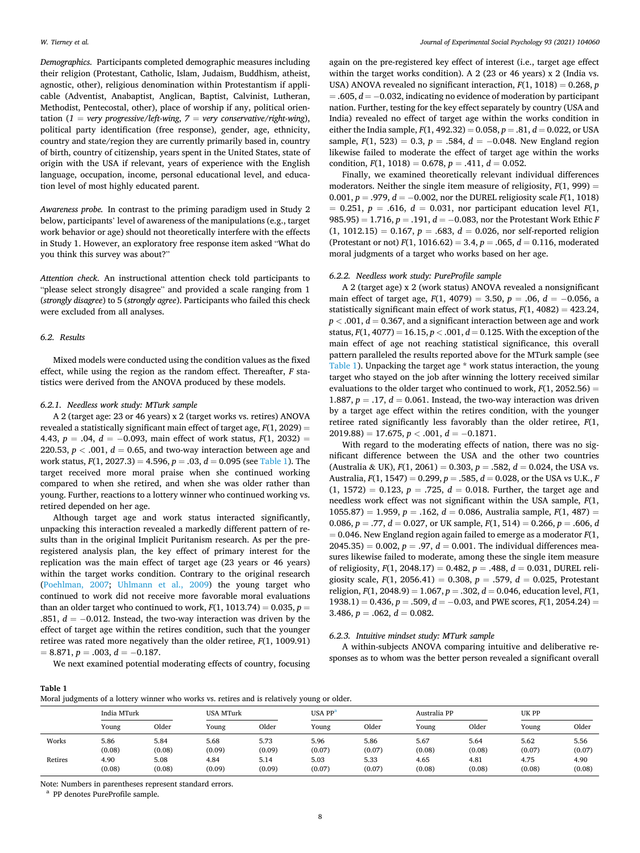<span id="page-7-0"></span>*Demographics.* Participants completed demographic measures including their religion (Protestant, Catholic, Islam, Judaism, Buddhism, atheist, agnostic, other), religious denomination within Protestantism if applicable (Adventist, Anabaptist, Anglican, Baptist, Calvinist, Lutheran, Methodist, Pentecostal, other), place of worship if any, political orientation (*1* = *very progressive*/*left*-*wing*, *7* = *very conservative*/*right*-*wing*), political party identification (free response), gender, age, ethnicity, country and state/region they are currently primarily based in, country of birth, country of citizenship, years spent in the United States, state of origin with the USA if relevant, years of experience with the English language, occupation, income, personal educational level, and education level of most highly educated parent.

*Awareness probe.* In contrast to the priming paradigm used in Study 2 below, participants' level of awareness of the manipulations (e.g., target work behavior or age) should not theoretically interfere with the effects in Study 1. However, an exploratory free response item asked "What do you think this survey was about?"

*Attention check.* An instructional attention check told participants to "please select strongly disagree" and provided a scale ranging from 1 (*strongly disagree*) to 5 (*strongly agree*). Participants who failed this check were excluded from all analyses.

# *6.2. Results*

Mixed models were conducted using the condition values as the fixed effect, while using the region as the random effect. Thereafter, *F* statistics were derived from the ANOVA produced by these models.

# *6.2.1. Needless work study: MTurk sample*

A 2 (target age: 23 or 46 years) x 2 (target works vs. retires) ANOVA revealed a statistically significant main effect of target age, *F*(1, 2029) = 4.43,  $p = .04$ ,  $d = -0.093$ , main effect of work status,  $F(1, 2032) =$ 220.53,  $p < .001$ ,  $d = 0.65$ , and two-way interaction between age and work status, *F*(1, 2027.3) = 4.596, *p* = .03, *d* = 0.095 (see Table 1). The target received more moral praise when she continued working compared to when she retired, and when she was older rather than young. Further, reactions to a lottery winner who continued working vs. retired depended on her age.

Although target age and work status interacted significantly, unpacking this interaction revealed a markedly different pattern of results than in the original Implicit Puritanism research. As per the preregistered analysis plan, the key effect of primary interest for the replication was the main effect of target age (23 years or 46 years) within the target works condition. Contrary to the original research ([Poehlman, 2007;](#page-17-0) [Uhlmann et al., 2009](#page-17-0)) the young target who continued to work did not receive more favorable moral evaluations than an older target who continued to work,  $F(1, 1013.74) = 0.035$ ,  $p =$ .851,  $d = -0.012$ . Instead, the two-way interaction was driven by the effect of target age within the retires condition, such that the younger retiree was rated more negatively than the older retiree, *F*(1, 1009.91)  $= 8.871, p = .003, d = -0.187.$ 

We next examined potential moderating effects of country, focusing

again on the pre-registered key effect of interest (i.e., target age effect within the target works condition). A 2 (23 or 46 years) x 2 (India vs. USA) ANOVA revealed no significant interaction, *F*(1, 1018) = 0.268, *p*  = .605, *d* = − 0.032, indicating no evidence of moderation by participant nation. Further, testing for the key effect separately by country (USA and India) revealed no effect of target age within the works condition in either the India sample,  $F(1, 492.32) = 0.058$ ,  $p = .81$ ,  $d = 0.022$ , or USA sample,  $F(1, 523) = 0.3$ ,  $p = .584$ ,  $d = -0.048$ . New England region likewise failed to moderate the effect of target age within the works condition,  $F(1, 1018) = 0.678$ ,  $p = .411$ ,  $d = 0.052$ .

Finally, we examined theoretically relevant individual differences moderators. Neither the single item measure of religiosity, *F*(1, 999) = 0.001, *p* = .979, *d* = − 0.002, nor the DUREL religiosity scale *F*(1, 1018)  $= 0.251, p = .616, d = 0.031,$  nor participant education level  $F(1,$ 985.95) = 1.716, *p* = .191, *d* = −0.083, nor the Protestant Work Ethic *F*  $(1, 1012.15) = 0.167$ ,  $p = .683$ ,  $d = 0.026$ , nor self-reported religion (Protestant or not)  $F(1, 1016.62) = 3.4$ ,  $p = .065$ ,  $d = 0.116$ , moderated moral judgments of a target who works based on her age.

# *6.2.2. Needless work study: PureProfile sample*

A 2 (target age) x 2 (work status) ANOVA revealed a nonsignificant main effect of target age,  $F(1, 4079) = 3.50$ ,  $p = .06$ ,  $d = -0.056$ , a statistically significant main effect of work status, *F*(1, 4082) = 423.24,  $p < .001$ ,  $d = 0.367$ , and a significant interaction between age and work status,  $F(1, 4077) = 16.15, p < .001, d = 0.125$ . With the exception of the main effect of age not reaching statistical significance, this overall pattern paralleled the results reported above for the MTurk sample (see Table 1). Unpacking the target age \* work status interaction, the young target who stayed on the job after winning the lottery received similar evaluations to the older target who continued to work,  $F(1, 2052.56) =$ 1.887,  $p = .17$ ,  $d = 0.061$ . Instead, the two-way interaction was driven by a target age effect within the retires condition, with the younger retiree rated significantly less favorably than the older retiree, *F*(1,  $2019.88$ ) = 17.675,  $p < .001$ ,  $d = -0.1871$ .

With regard to the moderating effects of nation, there was no significant difference between the USA and the other two countries (Australia & UK),  $F(1, 2061) = 0.303$ ,  $p = .582$ ,  $d = 0.024$ , the USA vs. Australia, *F*(1, 1547) = 0.299, *p* = .585, *d* = 0.028, or the USA vs U.K., *F*   $(1, 1572) = 0.123$ ,  $p = .725$ ,  $d = 0.018$ . Further, the target age and needless work effect was not significant within the USA sample, *F*(1, 1055.87) = 1.959,  $p = .162$ ,  $d = 0.086$ , Australia sample,  $F(1, 487) =$ 0.086,  $p = .77$ ,  $d = 0.027$ , or UK sample,  $F(1, 514) = 0.266$ ,  $p = .606$ , d  $= 0.046$ . New England region again failed to emerge as a moderator  $F(1, 1)$  $2045.35$ ) = 0.002,  $p = .97$ ,  $d = 0.001$ . The individual differences measures likewise failed to moderate, among these the single item measure of religiosity,  $F(1, 2048.17) = 0.482$ ,  $p = .488$ ,  $d = 0.031$ , DUREL religiosity scale,  $F(1, 2056.41) = 0.308$ ,  $p = .579$ ,  $d = 0.025$ , Protestant religion,  $F(1, 2048.9) = 1.067$ ,  $p = .302$ ,  $d = 0.046$ , education level,  $F(1, 1)$  $1938.1$ ) = 0.436,  $p = .509$ ,  $d = -0.03$ , and PWE scores,  $F(1, 2054.24)$  = 3.486,  $p = .062$ ,  $d = 0.082$ .

# *6.2.3. Intuitive mindset study: MTurk sample*

A within-subjects ANOVA comparing intuitive and deliberative responses as to whom was the better person revealed a significant overall

**Table 1** 

|  |  | Moral judgments of a lottery winner who works vs. retires and is relatively young or older. |  |  |  |  |  |  |  |  |  |  |  |  |  |  |  |
|--|--|---------------------------------------------------------------------------------------------|--|--|--|--|--|--|--|--|--|--|--|--|--|--|--|
|--|--|---------------------------------------------------------------------------------------------|--|--|--|--|--|--|--|--|--|--|--|--|--|--|--|

|         |        | India MTurk |        | <b>USA MTurk</b> |        | USA PP <sup>a</sup> |        | Australia PP | UK PP  |        |
|---------|--------|-------------|--------|------------------|--------|---------------------|--------|--------------|--------|--------|
|         | Young  | Older       | Young  | Older            | Young  | Older               | Young  | Older        | Young  | Older  |
| Works   | 5.86   | 5.84        | 5.68   | 5.73             | 5.96   | 5.86                | 5.67   | 5.64         | 5.62   | 5.56   |
|         | (0.08) | (0.08)      | (0.09) | (0.09)           | (0.07) | (0.07)              | (0.08) | (0.08)       | (0.07) | (0.07) |
| Retires | 4.90   | 5.08        | 4.84   | 5.14             | 5.03   | 5.33                | 4.65   | 4.81         | 4.75   | 4.90   |
|         | (0.08) | (0.08)      | (0.09) | (0.09)           | (0.07) | (0.07)              | (0.08) | (0.08)       | (0.08) | (0.08) |

Note: Numbers in parentheses represent standard errors. a PP denotes PureProfile sample.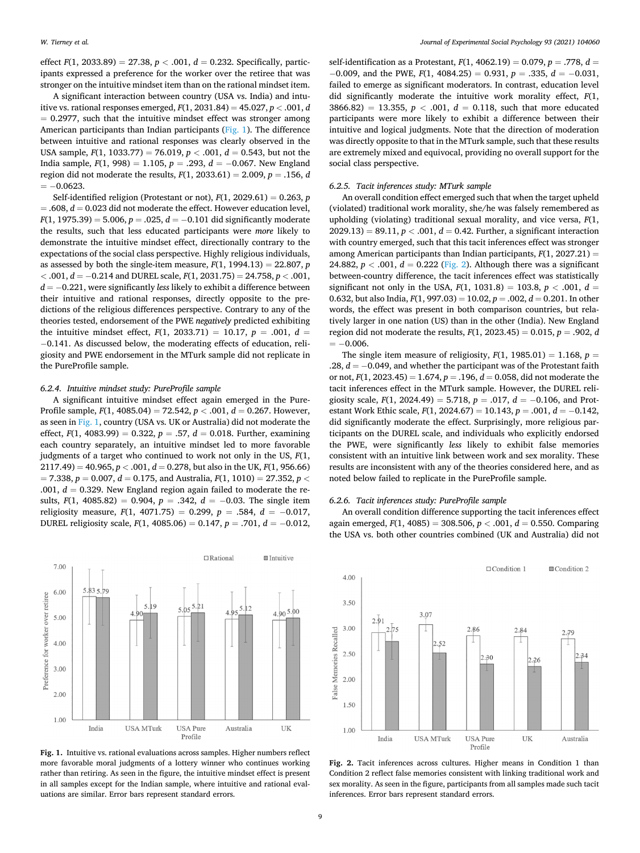<span id="page-8-0"></span>effect  $F(1, 2033.89) = 27.38$ ,  $p < .001$ ,  $d = 0.232$ . Specifically, participants expressed a preference for the worker over the retiree that was stronger on the intuitive mindset item than on the rational mindset item.

A significant interaction between country (USA vs. India) and intuitive vs. rational responses emerged, *F*(1, 2031.84) = 45.027, *p <* .001, *d*   $= 0.2977$ , such that the intuitive mindset effect was stronger among American participants than Indian participants (Fig. 1). The difference between intuitive and rational responses was clearly observed in the USA sample, *F*(1, 1033.77) = 76.019, *p <* .001, *d* = 0.543, but not the India sample, *F*(1, 998) = 1.105, *p* = .293, *d* = − 0.067. New England region did not moderate the results, *F*(1, 2033.61) = 2.009, *p* = .156, *d*   $= -0.0623.$ 

Self-identified religion (Protestant or not), *F*(1, 2029.61) = 0.263, *p*   $= .608$ ,  $d = 0.023$  did not moderate the effect. However education level, *F*(1, 1975.39) = 5.006, *p* = .025, *d* = −0.101 did significantly moderate the results, such that less educated participants were *more* likely to demonstrate the intuitive mindset effect, directionally contrary to the expectations of the social class perspective. Highly religious individuals, as assessed by both the single-item measure,  $F(1, 1994.13) = 22.807$ , *p <* .001, *d* = − 0.214 and DUREL scale, *F*(1, 2031.75) = 24.758, *p <* .001, *d* = −0.221, were significantly *less* likely to exhibit a difference between their intuitive and rational responses, directly opposite to the predictions of the religious differences perspective. Contrary to any of the theories tested, endorsement of the PWE *negatively* predicted exhibiting the intuitive mindset effect,  $F(1, 2033.71) = 10.17$ ,  $p = .001$ ,  $d =$ − 0.141. As discussed below, the moderating effects of education, religiosity and PWE endorsement in the MTurk sample did not replicate in the PureProfile sample.

#### *6.2.4. Intuitive mindset study: PureProfile sample*

A significant intuitive mindset effect again emerged in the Pure-Profile sample, *F*(1, 4085.04) = 72.542, *p <* .001, *d* = 0.267. However, as seen in Fig. 1, country (USA vs. UK or Australia) did not moderate the effect,  $F(1, 4083.99) = 0.322$ ,  $p = .57$ ,  $d = 0.018$ . Further, examining each country separately, an intuitive mindset led to more favorable judgments of a target who continued to work not only in the US, *F*(1,  $2117.49$  = 40.965,  $p < .001$ ,  $d = 0.278$ , but also in the UK,  $F(1, 956.66)$ = 7.338, *p* = 0.007, *d* = 0.175, and Australia, *F*(1, 1010) = 27.352, *p <* .001,  $d = 0.329$ . New England region again failed to moderate the results, *F*(1, 4085.82) = 0.904, *p* = .342, *d* = −0.03. The single item religiosity measure,  $F(1, 4071.75) = 0.299$ ,  $p = .584$ ,  $d = -0.017$ , DUREL religiosity scale, *F*(1, 4085.06) = 0.147, *p* = .701, *d* = − 0.012,



**Fig. 1.** Intuitive vs. rational evaluations across samples. Higher numbers reflect more favorable moral judgments of a lottery winner who continues working rather than retiring. As seen in the figure, the intuitive mindset effect is present in all samples except for the Indian sample, where intuitive and rational evaluations are similar. Error bars represent standard errors.

self-identification as a Protestant, *F*(1, 4062.19) = 0.079, *p* = .778, *d* = − 0.009, and the PWE, *F*(1, 4084.25) = 0.931, *p* = .335, *d* = − 0.031, failed to emerge as significant moderators. In contrast, education level did significantly moderate the intuitive work morality effect, *F*(1, 3866.82) = 13.355,  $p < .001$ ,  $d = 0.118$ , such that more educated participants were more likely to exhibit a difference between their intuitive and logical judgments. Note that the direction of moderation was directly opposite to that in the MTurk sample, such that these results are extremely mixed and equivocal, providing no overall support for the social class perspective.

# *6.2.5. Tacit inferences study: MTurk sample*

An overall condition effect emerged such that when the target upheld (violated) traditional work morality, she/he was falsely remembered as upholding (violating) traditional sexual morality, and vice versa, *F*(1,  $2029.13$ ) = 89.11,  $p < .001$ ,  $d = 0.42$ . Further, a significant interaction with country emerged, such that this tacit inferences effect was stronger among American participants than Indian participants, *F*(1, 2027.21) = 24.882,  $p < .001$ ,  $d = 0.222$  (Fig. 2). Although there was a significant between-country difference, the tacit inferences effect was statistically significant not only in the USA,  $F(1, 1031.8) = 103.8, p < .001, d =$ 0.632, but also India,  $F(1, 997.03) = 10.02$ ,  $p = .002$ ,  $d = 0.201$ . In other words, the effect was present in both comparison countries, but relatively larger in one nation (US) than in the other (India). New England region did not moderate the results,  $F(1, 2023.45) = 0.015$ ,  $p = .902$ , *d*  $= -0.006$ .

The single item measure of religiosity,  $F(1, 1985.01) = 1.168$ ,  $p =$ .28,  $d = -0.049$ , and whether the participant was of the Protestant faith or not,  $F(1, 2023.45) = 1.674$ ,  $p = .196$ ,  $d = 0.058$ , did not moderate the tacit inferences effect in the MTurk sample. However, the DUREL religiosity scale, *F*(1, 2024.49) = 5.718, *p* = .017, *d* = −0.106, and Protestant Work Ethic scale, *F*(1, 2024.67) = 10.143, *p* = .001, *d* = −0.142, did significantly moderate the effect. Surprisingly, more religious participants on the DUREL scale, and individuals who explicitly endorsed the PWE, were significantly *less* likely to exhibit false memories consistent with an intuitive link between work and sex morality. These results are inconsistent with any of the theories considered here, and as noted below failed to replicate in the PureProfile sample.

# *6.2.6. Tacit inferences study: PureProfile sample*

An overall condition difference supporting the tacit inferences effect again emerged, *F*(1, 4085) = 308.506, *p <* .001, *d* = 0.550. Comparing the USA vs. both other countries combined (UK and Australia) did not



**Fig. 2.** Tacit inferences across cultures. Higher means in Condition 1 than Condition 2 reflect false memories consistent with linking traditional work and sex morality. As seen in the figure, participants from all samples made such tacit inferences. Error bars represent standard errors.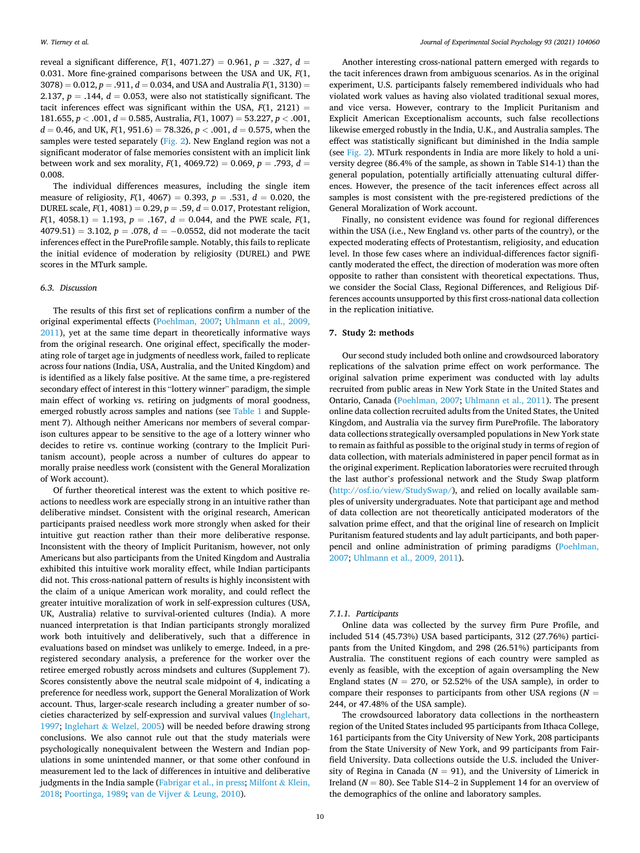reveal a significant difference,  $F(1, 4071.27) = 0.961$ ,  $p = .327$ ,  $d =$ 0.031. More fine-grained comparisons between the USA and UK, *F*(1,  $3078$ ) = 0.012,  $p = .911$ ,  $d = 0.034$ , and USA and Australia  $F(1, 3130)$  = 2.137,  $p = .144$ ,  $d = 0.053$ , were also not statistically significant. The tacit inferences effect was significant within the USA,  $F(1, 2121) =$ 181.655, *p <* .001, *d* = 0.585, Australia, *F*(1, 1007) = 53.227, *p <* .001,  $d = 0.46$ , and UK,  $F(1, 951.6) = 78.326$ ,  $p < .001$ ,  $d = 0.575$ , when the samples were tested separately [\(Fig. 2](#page-8-0)). New England region was not a significant moderator of false memories consistent with an implicit link between work and sex morality,  $F(1, 4069.72) = 0.069$ ,  $p = .793$ ,  $d =$ 0.008.

The individual differences measures, including the single item measure of religiosity, *F*(1, 4067) = 0.393, *p* = .531, *d* = 0.020, the DUREL scale, *F*(1, 4081) = 0.29, *p* = .59, *d* = 0.017, Protestant religion,  $F(1, 4058.1) = 1.193, p = .167, d = 0.044$ , and the PWE scale,  $F(1, 4058.1) = 1.193, p = .167$ 4079.51) = 3.102, *p* = .078, *d* = − 0.0552, did not moderate the tacit inferences effect in the PureProfile sample. Notably, this fails to replicate the initial evidence of moderation by religiosity (DUREL) and PWE scores in the MTurk sample.

#### *6.3. Discussion*

The results of this first set of replications confirm a number of the original experimental effects ([Poehlman, 2007](#page-17-0); [Uhlmann et al., 2009,](#page-17-0)  [2011\)](#page-17-0), yet at the same time depart in theoretically informative ways from the original research. One original effect, specifically the moderating role of target age in judgments of needless work, failed to replicate across four nations (India, USA, Australia, and the United Kingdom) and is identified as a likely false positive. At the same time, a pre-registered secondary effect of interest in this "lottery winner" paradigm, the simple main effect of working vs. retiring on judgments of moral goodness, emerged robustly across samples and nations (see [Table 1](#page-7-0) and Supplement 7). Although neither Americans nor members of several comparison cultures appear to be sensitive to the age of a lottery winner who decides to retire vs. continue working (contrary to the Implicit Puritanism account), people across a number of cultures do appear to morally praise needless work (consistent with the General Moralization of Work account).

Of further theoretical interest was the extent to which positive reactions to needless work are especially strong in an intuitive rather than deliberative mindset. Consistent with the original research, American participants praised needless work more strongly when asked for their intuitive gut reaction rather than their more deliberative response. Inconsistent with the theory of Implicit Puritanism, however, not only Americans but also participants from the United Kingdom and Australia exhibited this intuitive work morality effect, while Indian participants did not. This cross-national pattern of results is highly inconsistent with the claim of a unique American work morality, and could reflect the greater intuitive moralization of work in self-expression cultures (USA, UK, Australia) relative to survival-oriented cultures (India). A more nuanced interpretation is that Indian participants strongly moralized work both intuitively and deliberatively, such that a difference in evaluations based on mindset was unlikely to emerge. Indeed, in a preregistered secondary analysis, a preference for the worker over the retiree emerged robustly across mindsets and cultures (Supplement 7). Scores consistently above the neutral scale midpoint of 4, indicating a preference for needless work, support the General Moralization of Work account. Thus, larger-scale research including a greater number of societies characterized by self-expression and survival values [\(Inglehart,](#page-16-0)  [1997;](#page-16-0) Inglehart & [Welzel, 2005](#page-16-0)) will be needed before drawing strong conclusions. We also cannot rule out that the study materials were psychologically nonequivalent between the Western and Indian populations in some unintended manner, or that some other confound in measurement led to the lack of differences in intuitive and deliberative judgments in the India sample [\(Fabrigar et al., in press; Milfont](#page-16-0) & Klein, [2018;](#page-16-0) [Poortinga, 1989](#page-17-0); [van de Vijver](#page-17-0) & Leung, 2010).

Another interesting cross-national pattern emerged with regards to the tacit inferences drawn from ambiguous scenarios. As in the original experiment, U.S. participants falsely remembered individuals who had violated work values as having also violated traditional sexual mores, and vice versa. However, contrary to the Implicit Puritanism and Explicit American Exceptionalism accounts, such false recollections likewise emerged robustly in the India, U.K., and Australia samples. The effect was statistically significant but diminished in the India sample (see [Fig. 2](#page-8-0)). MTurk respondents in India are more likely to hold a university degree (86.4% of the sample, as shown in Table S14-1) than the general population, potentially artificially attenuating cultural differences. However, the presence of the tacit inferences effect across all samples is most consistent with the pre-registered predictions of the General Moralization of Work account.

Finally, no consistent evidence was found for regional differences within the USA (i.e., New England vs. other parts of the country), or the expected moderating effects of Protestantism, religiosity, and education level. In those few cases where an individual-differences factor significantly moderated the effect, the direction of moderation was more often opposite to rather than consistent with theoretical expectations. Thus, we consider the Social Class, Regional Differences, and Religious Differences accounts unsupported by this first cross-national data collection in the replication initiative.

# **7. Study 2: methods**

Our second study included both online and crowdsourced laboratory replications of the salvation prime effect on work performance. The original salvation prime experiment was conducted with lay adults recruited from public areas in New York State in the United States and Ontario, Canada [\(Poehlman, 2007;](#page-17-0) [Uhlmann et al., 2011](#page-17-0)). The present online data collection recruited adults from the United States, the United Kingdom, and Australia via the survey firm PureProfile. The laboratory data collections strategically oversampled populations in New York state to remain as faithful as possible to the original study in terms of region of data collection, with materials administered in paper pencil format as in the original experiment. Replication laboratories were recruited through the last author's professional network and the Study Swap platform ([http://osf.io/view/StudySwap/\)](http://osf.io/view/StudySwap/), and relied on locally available samples of university undergraduates. Note that participant age and method of data collection are not theoretically anticipated moderators of the salvation prime effect, and that the original line of research on Implicit Puritanism featured students and lay adult participants, and both paperpencil and online administration of priming paradigms [\(Poehlman,](#page-17-0)  [2007; Uhlmann et al., 2009, 2011\)](#page-17-0).

#### *7.1.1. Participants*

Online data was collected by the survey firm Pure Profile, and included 514 (45.73%) USA based participants, 312 (27.76%) participants from the United Kingdom, and 298 (26.51%) participants from Australia. The constituent regions of each country were sampled as evenly as feasible, with the exception of again oversampling the New England states ( $N = 270$ , or 52.52% of the USA sample), in order to compare their responses to participants from other USA regions (*N* = 244, or 47.48% of the USA sample).

The crowdsourced laboratory data collections in the northeastern region of the United States included 95 participants from Ithaca College, 161 participants from the City University of New York, 208 participants from the State University of New York, and 99 participants from Fairfield University. Data collections outside the U.S. included the University of Regina in Canada ( $N = 91$ ), and the University of Limerick in Ireland  $(N = 80)$ . See Table S14–2 in Supplement 14 for an overview of the demographics of the online and laboratory samples.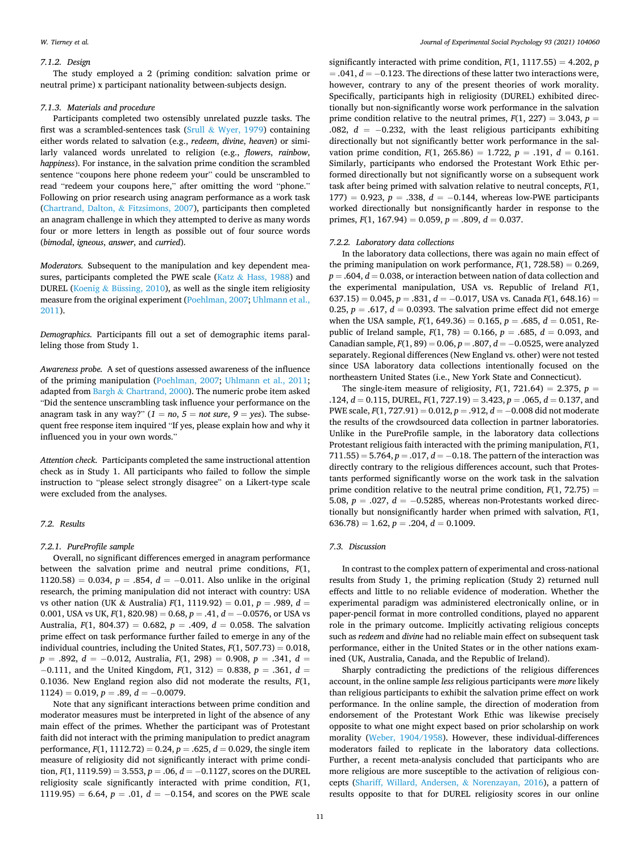#### *7.1.2. Design*

The study employed a 2 (priming condition: salvation prime or neutral prime) x participant nationality between-subjects design.

# *7.1.3. Materials and procedure*

Participants completed two ostensibly unrelated puzzle tasks. The first was a scrambled-sentences task (Srull  $&$  [Wyer, 1979](#page-17-0)) containing either words related to salvation (e.g., *redeem*, *divine*, *heaven*) or similarly valanced words unrelated to religion (e.g., *flowers*, *rainbow*, *happiness*). For instance, in the salvation prime condition the scrambled sentence "coupons here phone redeem your" could be unscrambled to read "redeem your coupons here," after omitting the word "phone." Following on prior research using anagram performance as a work task ([Chartrand, Dalton,](#page-15-0) & Fitzsimons, 2007), participants then completed an anagram challenge in which they attempted to derive as many words four or more letters in length as possible out of four source words (*bimodal*, *igneous*, *answer*, and *curried*).

*Moderators.* Subsequent to the manipulation and key dependent mea-sures, participants completed the PWE scale (Katz & [Hass, 1988\)](#page-16-0) and DUREL (Koenig & [Büssing, 2010\)](#page-16-0), as well as the single item religiosity measure from the original experiment [\(Poehlman, 2007](#page-17-0); [Uhlmann et al.,](#page-17-0)  [2011\)](#page-17-0).

*Demographics.* Participants fill out a set of demographic items paralleling those from Study 1.

*Awareness probe.* A set of questions assessed awareness of the influence of the priming manipulation ([Poehlman, 2007](#page-17-0); [Uhlmann et al., 2011](#page-17-0); adapted from Bargh & [Chartrand, 2000](#page-15-0)). The numeric probe item asked "Did the sentence unscrambling task influence your performance on the anagram task in any way?" ( $1 = no$ ,  $5 = not$  *sure*,  $9 = yes$ ). The subsequent free response item inquired "If yes, please explain how and why it influenced you in your own words."

*Attention check.* Participants completed the same instructional attention check as in Study 1. All participants who failed to follow the simple instruction to "please select strongly disagree" on a Likert-type scale were excluded from the analyses.

# *7.2. Results*

#### *7.2.1. PureProfile sample*

Overall, no significant differences emerged in anagram performance between the salvation prime and neutral prime conditions, *F*(1, 1120.58) = 0.034,  $p = .854$ ,  $d = -0.011$ . Also unlike in the original research, the priming manipulation did not interact with country: USA vs other nation (UK & Australia)  $F(1, 1119.92) = 0.01$ ,  $p = .989$ ,  $d =$ 0.001, USA vs UK, *F*(1, 820.98) = 0.68, *p* = .41, *d* = − 0.0576, or USA vs Australia,  $F(1, 804.37) = 0.682$ ,  $p = .409$ ,  $d = 0.058$ . The salvation prime effect on task performance further failed to emerge in any of the individual countries, including the United States, *F*(1, 507.73) = 0.018, *p* = .892, *d* = −0.012, Australia, *F*(1, 298) = 0.908, *p* = .341, *d* = − 0.111, and the United Kingdom, *F*(1, 312) = 0.838, *p* = .361, *d* = 0.1036. New England region also did not moderate the results, *F*(1,  $1124$ ) = 0.019,  $p = .89$ ,  $d = -0.0079$ .

Note that any significant interactions between prime condition and moderator measures must be interpreted in light of the absence of any main effect of the primes. Whether the participant was of Protestant faith did not interact with the priming manipulation to predict anagram performance, *F*(1, 1112.72) = 0.24, *p* = .625, *d* = 0.029, the single item measure of religiosity did not significantly interact with prime condition,  $F(1, 1119.59) = 3.553$ ,  $p = .06$ ,  $d = -0.1127$ , scores on the DUREL religiosity scale significantly interacted with prime condition, *F*(1, 1119.95) = 6.64,  $p = .01$ ,  $d = -0.154$ , and scores on the PWE scale

significantly interacted with prime condition,  $F(1, 1117.55) = 4.202$ , *p* = .041, *d* = − 0.123. The directions of these latter two interactions were, however, contrary to any of the present theories of work morality. Specifically, participants high in religiosity (DUREL) exhibited directionally but non-significantly worse work performance in the salvation prime condition relative to the neutral primes,  $F(1, 227) = 3.043$ ,  $p =$ .082,  $d = -0.232$ , with the least religious participants exhibiting directionally but not significantly better work performance in the salvation prime condition,  $F(1, 265.86) = 1.722$ ,  $p = .191$ ,  $d = 0.161$ . Similarly, participants who endorsed the Protestant Work Ethic performed directionally but not significantly worse on a subsequent work task after being primed with salvation relative to neutral concepts, *F*(1, 177) = 0.923,  $p = .338$ ,  $d = -0.144$ , whereas low-PWE participants worked directionally but nonsignificantly harder in response to the primes, *F*(1, 167.94) = 0.059, *p* = .809, *d* = 0.037.

# *7.2.2. Laboratory data collections*

In the laboratory data collections, there was again no main effect of the priming manipulation on work performance,  $F(1, 728.58) = 0.269$ ,  $p = .604$ ,  $d = 0.038$ , or interaction between nation of data collection and the experimental manipulation, USA vs. Republic of Ireland *F*(1,  $(637.15) = 0.045, p = .831, d = -0.017$ , USA vs. Canada  $F(1, 648.16) =$ 0.25,  $p = .617$ ,  $d = 0.0393$ . The salvation prime effect did not emerge when the USA sample,  $F(1, 649.36) = 0.165$ ,  $p = .685$ ,  $d = 0.051$ , Republic of Ireland sample,  $F(1, 78) = 0.166$ ,  $p = .685$ ,  $d = 0.093$ , and Canadian sample,  $F(1, 89) = 0.06$ ,  $p = .807$ ,  $d = -0.0525$ , were analyzed separately. Regional differences (New England vs. other) were not tested since USA laboratory data collections intentionally focused on the northeastern United States (i.e., New York State and Connecticut).

The single-item measure of religiosity,  $F(1, 721.64) = 2.375$ ,  $p =$ .124, *d* = 0.115, DUREL, *F*(1, 727.19) = 3.423, *p* = .065, *d* = 0.137, and PWE scale, *F*(1, 727.91) = 0.012, *p* = .912, *d* = − 0.008 did not moderate the results of the crowdsourced data collection in partner laboratories. Unlike in the PureProfile sample, in the laboratory data collections Protestant religious faith interacted with the priming manipulation, *F*(1,  $711.55$ ) = 5.764,  $p = .017$ ,  $d = -0.18$ . The pattern of the interaction was directly contrary to the religious differences account, such that Protestants performed significantly worse on the work task in the salvation prime condition relative to the neutral prime condition,  $F(1, 72.75) =$ 5.08,  $p = .027$ ,  $d = -0.5285$ , whereas non-Protestants worked directionally but nonsignificantly harder when primed with salvation, *F*(1,  $636.78$ ) = 1.62,  $p = .204$ ,  $d = 0.1009$ .

# *7.3. Discussion*

In contrast to the complex pattern of experimental and cross-national results from Study 1, the priming replication (Study 2) returned null effects and little to no reliable evidence of moderation. Whether the experimental paradigm was administered electronically online, or in paper-pencil format in more controlled conditions, played no apparent role in the primary outcome. Implicitly activating religious concepts such as *redeem* and *divine* had no reliable main effect on subsequent task performance, either in the United States or in the other nations examined (UK, Australia, Canada, and the Republic of Ireland).

Sharply contradicting the predictions of the religious differences account, in the online sample *less* religious participants were *more* likely than religious participants to exhibit the salvation prime effect on work performance. In the online sample, the direction of moderation from endorsement of the Protestant Work Ethic was likewise precisely opposite to what one might expect based on prior scholarship on work morality [\(Weber, 1904/1958](#page-17-0)). However, these individual-differences moderators failed to replicate in the laboratory data collections. Further, a recent meta-analysis concluded that participants who are more religious are more susceptible to the activation of religious concepts ([Shariff, Willard, Andersen,](#page-17-0) & Norenzayan, 2016), a pattern of results opposite to that for DUREL religiosity scores in our online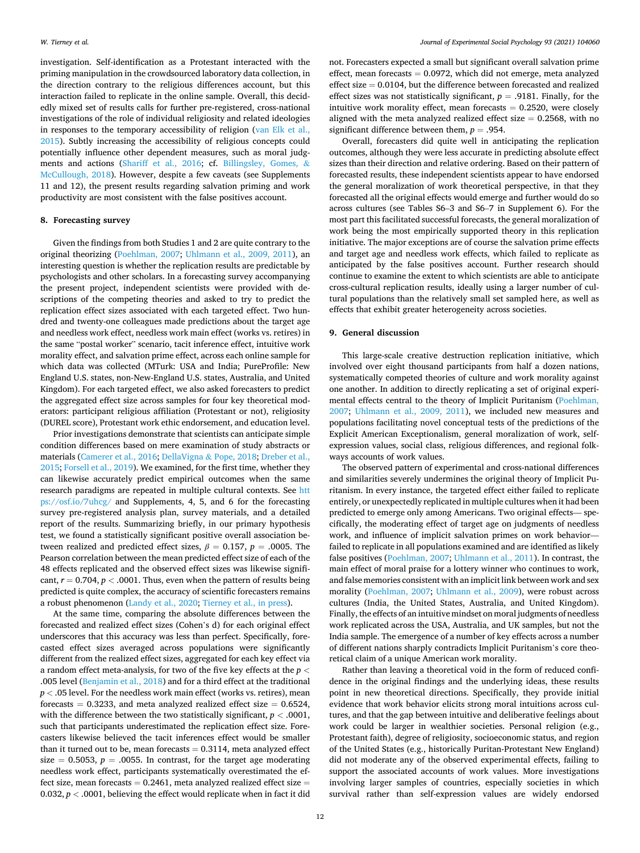investigation. Self-identification as a Protestant interacted with the priming manipulation in the crowdsourced laboratory data collection, in the direction contrary to the religious differences account, but this interaction failed to replicate in the online sample. Overall, this decidedly mixed set of results calls for further pre-registered, cross-national investigations of the role of individual religiosity and related ideologies in responses to the temporary accessibility of religion ([van Elk et al.,](#page-17-0)  [2015\)](#page-17-0). Subtly increasing the accessibility of religious concepts could potentially influence other dependent measures, such as moral judgments and actions [\(Shariff et al., 2016](#page-17-0); cf. [Billingsley, Gomes,](#page-15-0) & [McCullough, 2018](#page-15-0)). However, despite a few caveats (see Supplements 11 and 12), the present results regarding salvation priming and work productivity are most consistent with the false positives account.

#### **8. Forecasting survey**

Given the findings from both Studies 1 and 2 are quite contrary to the original theorizing ([Poehlman, 2007;](#page-17-0) [Uhlmann et al., 2009, 2011](#page-17-0)), an interesting question is whether the replication results are predictable by psychologists and other scholars. In a forecasting survey accompanying the present project, independent scientists were provided with descriptions of the competing theories and asked to try to predict the replication effect sizes associated with each targeted effect. Two hundred and twenty-one colleagues made predictions about the target age and needless work effect, needless work main effect (works vs. retires) in the same "postal worker" scenario, tacit inference effect, intuitive work morality effect, and salvation prime effect, across each online sample for which data was collected (MTurk: USA and India; PureProfile: New England U.S. states, non-New-England U.S. states, Australia, and United Kingdom). For each targeted effect, we also asked forecasters to predict the aggregated effect size across samples for four key theoretical moderators: participant religious affiliation (Protestant or not), religiosity (DUREL score), Protestant work ethic endorsement, and education level.

Prior investigations demonstrate that scientists can anticipate simple condition differences based on mere examination of study abstracts or materials [\(Camerer et al., 2016](#page-15-0); [DellaVigna](#page-16-0) & Pope, 2018; [Dreber et al.,](#page-16-0)  [2015; Forsell et al., 2019\)](#page-16-0). We examined, for the first time, whether they can likewise accurately predict empirical outcomes when the same research paradigms are repeated in multiple cultural contexts. See [htt](https://osf.io/7uhcg/)  [ps://osf.io/7uhcg/](https://osf.io/7uhcg/) and Supplements, 4, 5, and 6 for the forecasting survey pre-registered analysis plan, survey materials, and a detailed report of the results. Summarizing briefly, in our primary hypothesis test, we found a statistically significant positive overall association between realized and predicted effect sizes,  $\beta = 0.157$ ,  $p = .0005$ . The Pearson correlation between the mean predicted effect size of each of the 48 effects replicated and the observed effect sizes was likewise significant,  $r = 0.704$ ,  $p < .0001$ . Thus, even when the pattern of results being predicted is quite complex, the accuracy of scientific forecasters remains a robust phenomenon ([Landy et al., 2020](#page-16-0); [Tierney et al., in press](#page-17-0)).

At the same time, comparing the absolute differences between the forecasted and realized effect sizes (Cohen's d) for each original effect underscores that this accuracy was less than perfect. Specifically, forecasted effect sizes averaged across populations were significantly different from the realized effect sizes, aggregated for each key effect via a random effect meta-analysis, for two of the five key effects at the *p <* .005 level ([Benjamin et al., 2018](#page-15-0)) and for a third effect at the traditional *p <* .05 level. For the needless work main effect (works vs. retires), mean forecasts =  $0.3233$ , and meta analyzed realized effect size =  $0.6524$ , with the difference between the two statistically significant,  $p < .0001$ , such that participants underestimated the replication effect size. Forecasters likewise believed the tacit inferences effect would be smaller than it turned out to be, mean forecasts  $= 0.3114$ , meta analyzed effect size  $= 0.5053$ ,  $p = .0055$ . In contrast, for the target age moderating needless work effect, participants systematically overestimated the effect size, mean forecasts  $= 0.2461$ , meta analyzed realized effect size  $=$ 0.032, *p <* .0001, believing the effect would replicate when in fact it did not. Forecasters expected a small but significant overall salvation prime effect, mean forecasts  $= 0.0972$ , which did not emerge, meta analyzed effect size = 0.0104, but the difference between forecasted and realized effect sizes was not statistically significant,  $p = .9181$ . Finally, for the intuitive work morality effect, mean forecasts  $= 0.2520$ , were closely aligned with the meta analyzed realized effect size  $= 0.2568$ , with no significant difference between them,  $p = .954$ .

Overall, forecasters did quite well in anticipating the replication outcomes, although they were less accurate in predicting absolute effect sizes than their direction and relative ordering. Based on their pattern of forecasted results, these independent scientists appear to have endorsed the general moralization of work theoretical perspective, in that they forecasted all the original effects would emerge and further would do so across cultures (see Tables S6–3 and S6–7 in Supplement 6). For the most part this facilitated successful forecasts, the general moralization of work being the most empirically supported theory in this replication initiative. The major exceptions are of course the salvation prime effects and target age and needless work effects, which failed to replicate as anticipated by the false positives account. Further research should continue to examine the extent to which scientists are able to anticipate cross-cultural replication results, ideally using a larger number of cultural populations than the relatively small set sampled here, as well as effects that exhibit greater heterogeneity across societies.

# **9. General discussion**

This large-scale creative destruction replication initiative, which involved over eight thousand participants from half a dozen nations, systematically competed theories of culture and work morality against one another. In addition to directly replicating a set of original experimental effects central to the theory of Implicit Puritanism [\(Poehlman,](#page-17-0)  [2007;](#page-17-0) [Uhlmann et al., 2009, 2011](#page-17-0)), we included new measures and populations facilitating novel conceptual tests of the predictions of the Explicit American Exceptionalism, general moralization of work, selfexpression values, social class, religious differences, and regional folkways accounts of work values.

The observed pattern of experimental and cross-national differences and similarities severely undermines the original theory of Implicit Puritanism. In every instance, the targeted effect either failed to replicate entirely, or unexpectedly replicated in multiple cultures when it had been predicted to emerge only among Americans. Two original effects— specifically, the moderating effect of target age on judgments of needless work, and influence of implicit salvation primes on work behavior failed to replicate in all populations examined and are identified as likely false positives ([Poehlman, 2007](#page-17-0); [Uhlmann et al., 2011](#page-17-0)). In contrast, the main effect of moral praise for a lottery winner who continues to work, and false memories consistent with an implicit link between work and sex morality ([Poehlman, 2007;](#page-17-0) [Uhlmann et al., 2009\)](#page-17-0), were robust across cultures (India, the United States, Australia, and United Kingdom). Finally, the effects of an intuitive mindset on moral judgments of needless work replicated across the USA, Australia, and UK samples, but not the India sample. The emergence of a number of key effects across a number of different nations sharply contradicts Implicit Puritanism's core theoretical claim of a unique American work morality.

Rather than leaving a theoretical void in the form of reduced confidence in the original findings and the underlying ideas, these results point in new theoretical directions. Specifically, they provide initial evidence that work behavior elicits strong moral intuitions across cultures, and that the gap between intuitive and deliberative feelings about work could be larger in wealthier societies. Personal religion (e.g., Protestant faith), degree of religiosity, socioeconomic status, and region of the United States (e.g., historically Puritan-Protestant New England) did not moderate any of the observed experimental effects, failing to support the associated accounts of work values. More investigations involving larger samples of countries, especially societies in which survival rather than self-expression values are widely endorsed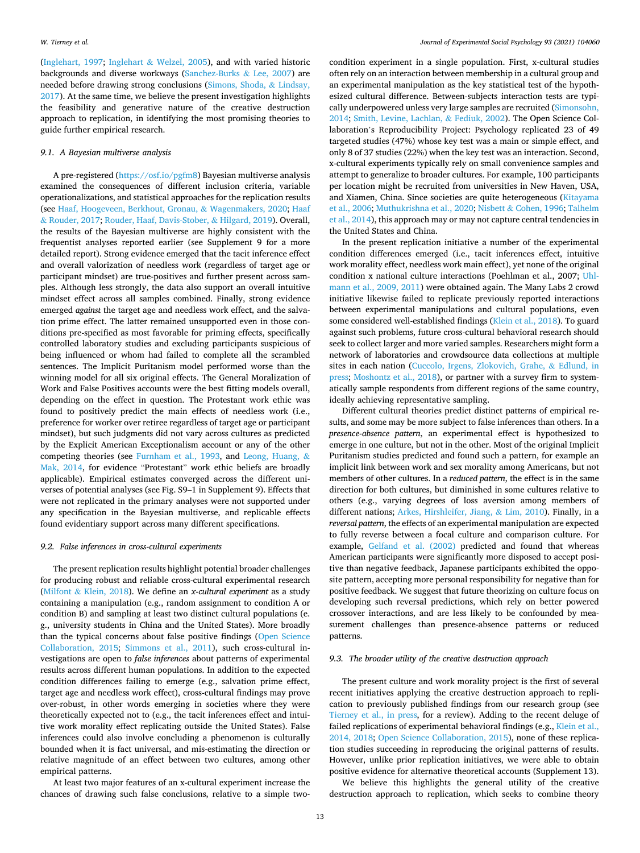([Inglehart, 1997](#page-16-0); Inglehart & [Welzel, 2005](#page-16-0)), and with varied historic backgrounds and diverse workways [\(Sanchez-Burks](#page-17-0) & Lee, 2007) are needed before drawing strong conclusions ([Simons, Shoda,](#page-17-0) & Lindsay, [2017\)](#page-17-0). At the same time, we believe the present investigation highlights the feasibility and generative nature of the creative destruction approach to replication, in identifying the most promising theories to guide further empirical research.

#### *9.1. A Bayesian multiverse analysis*

A pre-registered ([https://osf.io/pgfm8\)](https://osf.io/pgfm8) Bayesian multiverse analysis examined the consequences of different inclusion criteria, variable operationalizations, and statistical approaches for the replication results (see [Haaf, Hoogeveen, Berkhout, Gronau,](#page-16-0) & Wagenmakers, 2020; [Haaf](#page-16-0)  & [Rouder, 2017](#page-16-0); [Rouder, Haaf, Davis-Stober,](#page-17-0) & Hilgard, 2019). Overall, the results of the Bayesian multiverse are highly consistent with the frequentist analyses reported earlier (see Supplement 9 for a more detailed report). Strong evidence emerged that the tacit inference effect and overall valorization of needless work (regardless of target age or participant mindset) are true-positives and further present across samples. Although less strongly, the data also support an overall intuitive mindset effect across all samples combined. Finally, strong evidence emerged *against* the target age and needless work effect, and the salvation prime effect. The latter remained unsupported even in those conditions pre-specified as most favorable for priming effects, specifically controlled laboratory studies and excluding participants suspicious of being influenced or whom had failed to complete all the scrambled sentences. The Implicit Puritanism model performed worse than the winning model for all six original effects. The General Moralization of Work and False Positives accounts were the best fitting models overall, depending on the effect in question. The Protestant work ethic was found to positively predict the main effects of needless work (i.e., preference for worker over retiree regardless of target age or participant mindset), but such judgments did not vary across cultures as predicted by the Explicit American Exceptionalism account or any of the other competing theories (see [Furnham et al., 1993,](#page-16-0) and [Leong, Huang,](#page-16-0) & [Mak, 2014,](#page-16-0) for evidence "Protestant" work ethic beliefs are broadly applicable). Empirical estimates converged across the different universes of potential analyses (see Fig. S9–1 in Supplement 9). Effects that were not replicated in the primary analyses were not supported under any specification in the Bayesian multiverse, and replicable effects found evidentiary support across many different specifications.

# *9.2. False inferences in cross-cultural experiments*

The present replication results highlight potential broader challenges for producing robust and reliable cross-cultural experimental research (Milfont & [Klein, 2018\)](#page-16-0). We define an *x*-*cultural experiment* as a study containing a manipulation (e.g., random assignment to condition A or condition B) and sampling at least two distinct cultural populations (e. g., university students in China and the United States). More broadly than the typical concerns about false positive findings (Open Science [Collaboration, 2015](#page-17-0); [Simmons et al., 2011](#page-17-0)), such cross-cultural investigations are open to *false inferences* about patterns of experimental results across different human populations. In addition to the expected condition differences failing to emerge (e.g., salvation prime effect, target age and needless work effect), cross-cultural findings may prove over-robust, in other words emerging in societies where they were theoretically expected not to (e.g., the tacit inferences effect and intuitive work morality effect replicating outside the United States). False inferences could also involve concluding a phenomenon is culturally bounded when it is fact universal, and mis-estimating the direction or relative magnitude of an effect between two cultures, among other empirical patterns.

At least two major features of an x-cultural experiment increase the chances of drawing such false conclusions, relative to a simple twocondition experiment in a single population. First, x-cultural studies often rely on an interaction between membership in a cultural group and an experimental manipulation as the key statistical test of the hypothesized cultural difference. Between-subjects interaction tests are typically underpowered unless very large samples are recruited ([Simonsohn,](#page-17-0)  [2014; Smith, Levine, Lachlan,](#page-17-0) & Fediuk, 2002). The Open Science Collaboration's Reproducibility Project: Psychology replicated 23 of 49 targeted studies (47%) whose key test was a main or simple effect, and only 8 of 37 studies (22%) when the key test was an interaction. Second, x-cultural experiments typically rely on small convenience samples and attempt to generalize to broader cultures. For example, 100 participants per location might be recruited from universities in New Haven, USA, and Xiamen, China. Since societies are quite heterogeneous [\(Kitayama](#page-16-0)  [et al., 2006;](#page-16-0) [Muthukrishna et al., 2020;](#page-17-0) Nisbett & [Cohen, 1996; Talhelm](#page-17-0)  [et al., 2014](#page-17-0)), this approach may or may not capture central tendencies in the United States and China.

In the present replication initiative a number of the experimental condition differences emerged (i.e., tacit inferences effect, intuitive work morality effect, needless work main effect), yet none of the original condition x national culture interactions (Poehlman et al., 2007; [Uhl](#page-17-0)[mann et al., 2009, 2011](#page-17-0)) were obtained again. The Many Labs 2 crowd initiative likewise failed to replicate previously reported interactions between experimental manipulations and cultural populations, even some considered well-established findings ([Klein et al., 2018\)](#page-16-0). To guard against such problems, future cross-cultural behavioral research should seek to collect larger and more varied samples. Researchers might form a network of laboratories and crowdsource data collections at multiple sites in each nation ([Cuccolo, Irgens, Zlokovich, Grahe,](#page-15-0) & Edlund, in [press](#page-15-0); [Moshontz et al., 2018\)](#page-16-0), or partner with a survey firm to systematically sample respondents from different regions of the same country, ideally achieving representative sampling.

Different cultural theories predict distinct patterns of empirical results, and some may be more subject to false inferences than others. In a *presence*-*absence pattern*, an experimental effect is hypothesized to emerge in one culture, but not in the other. Most of the original Implicit Puritanism studies predicted and found such a pattern, for example an implicit link between work and sex morality among Americans, but not members of other cultures. In a *reduced pattern*, the effect is in the same direction for both cultures, but diminished in some cultures relative to others (e.g., varying degrees of loss aversion among members of different nations; [Arkes, Hirshleifer, Jiang,](#page-15-0) & Lim, 2010). Finally, in a *reversal pattern*, the effects of an experimental manipulation are expected to fully reverse between a focal culture and comparison culture. For example, [Gelfand et al. \(2002\)](#page-16-0) predicted and found that whereas American participants were significantly more disposed to accept positive than negative feedback, Japanese participants exhibited the opposite pattern, accepting more personal responsibility for negative than for positive feedback. We suggest that future theorizing on culture focus on developing such reversal predictions, which rely on better powered crossover interactions, and are less likely to be confounded by measurement challenges than presence-absence patterns or reduced patterns.

# *9.3. The broader utility of the creative destruction approach*

The present culture and work morality project is the first of several recent initiatives applying the creative destruction approach to replication to previously published findings from our research group (see [Tierney et al., in press](#page-17-0), for a review). Adding to the recent deluge of failed replications of experimental behavioral findings (e.g., [Klein et al.,](#page-16-0)  [2014, 2018](#page-16-0); [Open Science Collaboration, 2015](#page-17-0)), none of these replication studies succeeding in reproducing the original patterns of results. However, unlike prior replication initiatives, we were able to obtain positive evidence for alternative theoretical accounts (Supplement 13).

We believe this highlights the general utility of the creative destruction approach to replication, which seeks to combine theory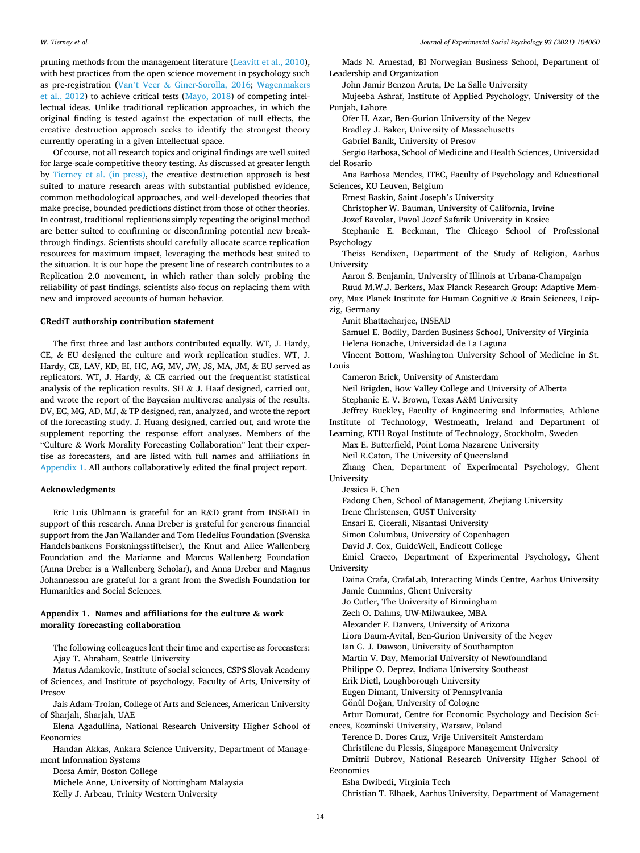pruning methods from the management literature [\(Leavitt et al., 2010](#page-16-0)), with best practices from the open science movement in psychology such as pre-registration (Van't Veer & [Giner-Sorolla, 2016](#page-17-0); [Wagenmakers](#page-17-0)  [et al., 2012\)](#page-17-0) to achieve critical tests [\(Mayo, 2018\)](#page-16-0) of competing intellectual ideas. Unlike traditional replication approaches, in which the original finding is tested against the expectation of null effects, the creative destruction approach seeks to identify the strongest theory currently operating in a given intellectual space.

Of course, not all research topics and original findings are well suited for large-scale competitive theory testing. As discussed at greater length by [Tierney et al. \(in press\)](#page-17-0), the creative destruction approach is best suited to mature research areas with substantial published evidence, common methodological approaches, and well-developed theories that make precise, bounded predictions distinct from those of other theories. In contrast, traditional replications simply repeating the original method are better suited to confirming or disconfirming potential new breakthrough findings. Scientists should carefully allocate scarce replication resources for maximum impact, leveraging the methods best suited to the situation. It is our hope the present line of research contributes to a Replication 2.0 movement, in which rather than solely probing the reliability of past findings, scientists also focus on replacing them with new and improved accounts of human behavior.

# **CRediT authorship contribution statement**

The first three and last authors contributed equally. WT, J. Hardy, CE, & EU designed the culture and work replication studies. WT, J. Hardy, CE, LAV, KD, EI, HC, AG, MV, JW, JS, MA, JM, & EU served as replicators. WT, J. Hardy, & CE carried out the frequentist statistical analysis of the replication results. SH & J. Haaf designed, carried out, and wrote the report of the Bayesian multiverse analysis of the results. DV, EC, MG, AD, MJ, & TP designed, ran, analyzed, and wrote the report of the forecasting study. J. Huang designed, carried out, and wrote the supplement reporting the response effort analyses. Members of the "Culture & Work Morality Forecasting Collaboration" lent their expertise as forecasters, and are listed with full names and affiliations in Appendix 1. All authors collaboratively edited the final project report.

#### **Acknowledgments**

Eric Luis Uhlmann is grateful for an R&D grant from INSEAD in support of this research. Anna Dreber is grateful for generous financial support from the Jan Wallander and Tom Hedelius Foundation (Svenska Handelsbankens Forskningsstiftelser), the Knut and Alice Wallenberg Foundation and the Marianne and Marcus Wallenberg Foundation (Anna Dreber is a Wallenberg Scholar), and Anna Dreber and Magnus Johannesson are grateful for a grant from the Swedish Foundation for Humanities and Social Sciences.

# **Appendix 1. Names and affiliations for the culture & work morality forecasting collaboration**

The following colleagues lent their time and expertise as forecasters: Ajay T. Abraham, Seattle University

Matus Adamkovic, Institute of social sciences, CSPS Slovak Academy of Sciences, and Institute of psychology, Faculty of Arts, University of Presov

Jais Adam-Troian, College of Arts and Sciences, American University of Sharjah, Sharjah, UAE

Elena Agadullina, National Research University Higher School of Economics

Handan Akkas, Ankara Science University, Department of Management Information Systems

Dorsa Amir, Boston College

Michele Anne, University of Nottingham Malaysia Kelly J. Arbeau, Trinity Western University

Mads N. Arnestad, BI Norwegian Business School, Department of Leadership and Organization

John Jamir Benzon Aruta, De La Salle University

Mujeeba Ashraf, Institute of Applied Psychology, University of the Punjab, Lahore

Ofer H. Azar, Ben-Gurion University of the Negev

Bradley J. Baker, University of Massachusetts

Gabriel Baník, University of Presov

Sergio Barbosa, School of Medicine and Health Sciences, Universidad del Rosario

Ana Barbosa Mendes, ITEC, Faculty of Psychology and Educational Sciences, KU Leuven, Belgium

Ernest Baskin, Saint Joseph's University

Christopher W. Bauman, University of California, Irvine

Jozef Bavolar, Pavol Jozef Safarik University in Kosice

Stephanie E. Beckman, The Chicago School of Professional Psychology

Theiss Bendixen, Department of the Study of Religion, Aarhus University

Aaron S. Benjamin, University of Illinois at Urbana-Champaign

Ruud M.W.J. Berkers, Max Planck Research Group: Adaptive Memory, Max Planck Institute for Human Cognitive & Brain Sciences, Leipzig, Germany

Amit Bhattacharjee, INSEAD

Samuel E. Bodily, Darden Business School, University of Virginia

Helena Bonache, Universidad de La Laguna

Vincent Bottom, Washington University School of Medicine in St. Louis

Cameron Brick, University of Amsterdam

Neil Brigden, Bow Valley College and University of Alberta

Stephanie E. V. Brown, Texas A&M University

Jeffrey Buckley, Faculty of Engineering and Informatics, Athlone Institute of Technology, Westmeath, Ireland and Department of

Learning, KTH Royal Institute of Technology, Stockholm, Sweden

Max E. Butterfield, Point Loma Nazarene University

Neil R.Caton, The University of Queensland

Zhang Chen, Department of Experimental Psychology, Ghent University

Jessica F. Chen

Fadong Chen, School of Management, Zhejiang University

Irene Christensen, GUST University

Ensari E. Cicerali, Nisantasi University

Simon Columbus, University of Copenhagen

David J. Cox, GuideWell, Endicott College

Emiel Cracco, Department of Experimental Psychology, Ghent University

Daina Crafa, CrafaLab, Interacting Minds Centre, Aarhus University Jamie Cummins, Ghent University

Jo Cutler, The University of Birmingham

Zech O. Dahms, UW-Milwaukee, MBA

Alexander F. Danvers, University of Arizona

Liora Daum-Avital, Ben-Gurion University of the Negev

Ian G. J. Dawson, University of Southampton

Martin V. Day, Memorial University of Newfoundland

Philippe O. Deprez, Indiana University Southeast

Erik Dietl, Loughborough University

Eugen Dimant, University of Pennsylvania

Gönül Doğan, University of Cologne

Artur Domurat, Centre for Economic Psychology and Decision Sciences, Kozminski University, Warsaw, Poland

Terence D. Dores Cruz, Vrije Universiteit Amsterdam

Christilene du Plessis, Singapore Management University

Dmitrii Dubrov, National Research University Higher School of Economics

Esha Dwibedi, Virginia Tech

Christian T. Elbaek, Aarhus University, Department of Management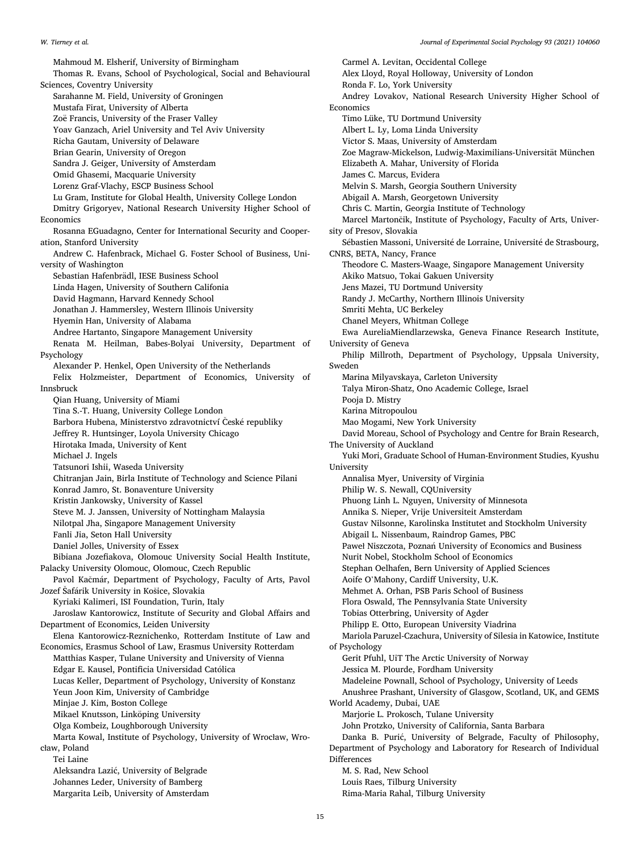Mahmoud M. Elsherif, University of Birmingham Thomas R. Evans, School of Psychological, Social and Behavioural Sciences, Coventry University Sarahanne M. Field, University of Groningen Mustafa Firat, University of Alberta Zoë Francis, University of the Fraser Valley Yoav Ganzach, Ariel University and Tel Aviv University Richa Gautam, University of Delaware Brian Gearin, University of Oregon Sandra J. Geiger, University of Amsterdam Omid Ghasemi, Macquarie University Lorenz Graf-Vlachy, ESCP Business School Lu Gram, Institute for Global Health, University College London Dmitry Grigoryev, National Research University Higher School of Economics Rosanna EGuadagno, Center for International Security and Cooperation, Stanford University Andrew C. Hafenbrack, Michael G. Foster School of Business, University of Washington Sebastian Hafenbrädl, IESE Business School Linda Hagen, University of Southern Califonia David Hagmann, Harvard Kennedy School Jonathan J. Hammersley, Western Illinois University Hyemin Han, University of Alabama Andree Hartanto, Singapore Management University Renata M. Heilman, Babes-Bolyai University, Department of Psychology Alexander P. Henkel, Open University of the Netherlands Felix Holzmeister, Department of Economics, University of Innsbruck Qian Huang, University of Miami Tina S.-T. Huang, University College London Barbora Hubena, Ministerstvo zdravotnictví České republiky Jeffrey R. Huntsinger, Loyola University Chicago Hirotaka Imada, University of Kent Michael J. Ingels Tatsunori Ishii, Waseda University Chitranjan Jain, Birla Institute of Technology and Science Pilani Konrad Jamro, St. Bonaventure University Kristin Jankowsky, University of Kassel Steve M. J. Janssen, University of Nottingham Malaysia Nilotpal Jha, Singapore Management University Fanli Jia, Seton Hall University Daniel Jolles, University of Essex Bibiana Jozefiakova, Olomouc University Social Health Institute, Palacky University Olomouc, Olomouc, Czech Republic Pavol Kačmár, Department of Psychology, Faculty of Arts, Pavol Jozef Šafárik University in Košice, Slovakia Kyriaki Kalimeri, ISI Foundation, Turin, Italy Jaroslaw Kantorowicz, Institute of Security and Global Affairs and Department of Economics, Leiden University Elena Kantorowicz-Reznichenko, Rotterdam Institute of Law and Economics, Erasmus School of Law, Erasmus University Rotterdam Matthias Kasper, Tulane University and University of Vienna Edgar E. Kausel, Pontificia Universidad Catolica ´ Lucas Keller, Department of Psychology, University of Konstanz Yeun Joon Kim, University of Cambridge Minjae J. Kim, Boston College Mikael Knutsson, Linköping University Olga Kombeiz, Loughborough University Marta Kowal, Institute of Psychology, University of Wrocław, Wrocław, Poland Tei Laine Aleksandra Lazić, University of Belgrade Johannes Leder, University of Bamberg

Margarita Leib, University of Amsterdam

Carmel A. Levitan, Occidental College Alex Lloyd, Royal Holloway, University of London Ronda F. Lo, York University Andrey Lovakov, National Research University Higher School of Economics Timo Lüke, TU Dortmund University Albert L. Ly, Loma Linda University Victor S. Maas, University of Amsterdam Zoe Magraw-Mickelson, Ludwig-Maximilians-Universität München Elizabeth A. Mahar, University of Florida James C. Marcus, Evidera Melvin S. Marsh, Georgia Southern University Abigail A. Marsh, Georgetown University Chris C. Martin, Georgia Institute of Technology Marcel Martončik, Institute of Psychology, Faculty of Arts, University of Presov, Slovakia Sébastien Massoni, Université de Lorraine, Université de Strasbourg, CNRS, BETA, Nancy, France Theodore C. Masters-Waage, Singapore Management University Akiko Matsuo, Tokai Gakuen University Jens Mazei, TU Dortmund University Randy J. McCarthy, Northern Illinois University Smriti Mehta, UC Berkeley Chanel Meyers, Whitman College Ewa AureliaMiendlarzewska, Geneva Finance Research Institute, University of Geneva Philip Millroth, Department of Psychology, Uppsala University, Sweden Marina Milyavskaya, Carleton University Talya Miron-Shatz, Ono Academic College, Israel Pooja D. Mistry Karina Mitropoulou Mao Mogami, New York University David Moreau, School of Psychology and Centre for Brain Research, The University of Auckland Yuki Mori, Graduate School of Human-Environment Studies, Kyushu University Annalisa Myer, University of Virginia Philip W. S. Newall, CQUniversity Phuong Linh L. Nguyen, University of Minnesota Annika S. Nieper, Vrije Universiteit Amsterdam Gustav Nilsonne, Karolinska Institutet and Stockholm University Abigail L. Nissenbaum, Raindrop Games, PBC Paweł Niszczota, Poznań University of Economics and Business Nurit Nobel, Stockholm School of Economics Stephan Oelhafen, Bern University of Applied Sciences Aoife O'Mahony, Cardiff University, U.K. Mehmet A. Orhan, PSB Paris School of Business Flora Oswald, The Pennsylvania State University Tobias Otterbring, University of Agder Philipp E. Otto, European University Viadrina Mariola Paruzel-Czachura, University of Silesia in Katowice, Institute of Psychology Gerit Pfuhl, UiT The Arctic University of Norway Jessica M. Plourde, Fordham University Madeleine Pownall, School of Psychology, University of Leeds Anushree Prashant, University of Glasgow, Scotland, UK, and GEMS World Academy, Dubai, UAE Marjorie L. Prokosch, Tulane University John Protzko, University of California, Santa Barbara Danka B. Purić, University of Belgrade, Faculty of Philosophy, Department of Psychology and Laboratory for Research of Individual Differences M. S. Rad, New School Louis Raes, Tilburg University Rima-Maria Rahal, Tilburg University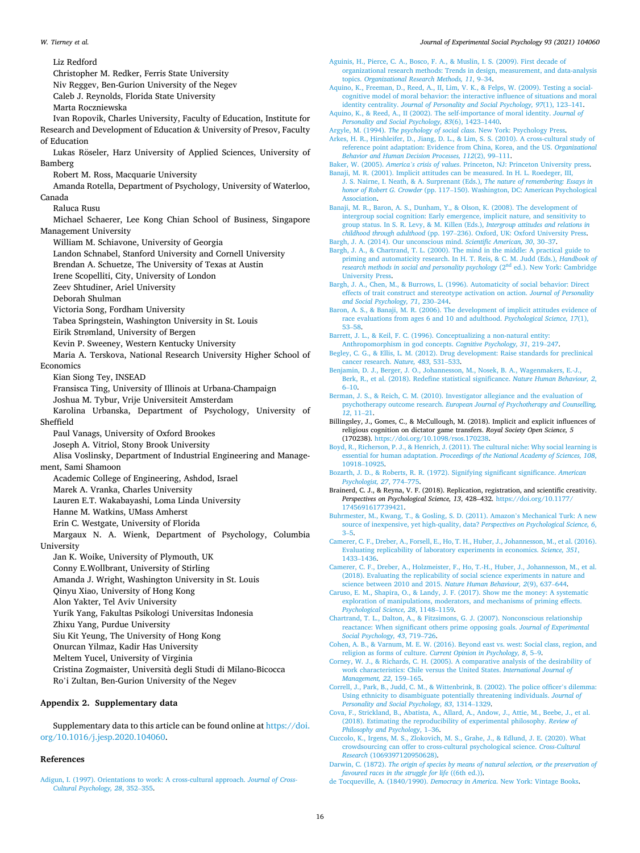*Journal of Experimental Social Psychology 93 (2021) 104060*

<span id="page-15-0"></span>Liz Redford Christopher M. Redker, Ferris State University Niv Reggev, Ben-Gurion University of the Negev Caleb J. Reynolds, Florida State University Marta Roczniewska Ivan Ropovik, Charles University, Faculty of Education, Institute for Research and Development of Education & University of Presov, Faculty of Education Lukas Röseler, Harz University of Applied Sciences, University of Bamberg Robert M. Ross, Macquarie University Amanda Rotella, Department of Psychology, University of Waterloo, Canada Raluca Rusu Michael Schaerer, Lee Kong Chian School of Business, Singapore Management University William M. Schiavone, University of Georgia Landon Schnabel, Stanford University and Cornell University Brendan A. Schuetze, The University of Texas at Austin Irene Scopelliti, City, University of London Zeev Shtudiner, Ariel University Deborah Shulman Victoria Song, Fordham University Tabea Springstein, Washington University in St. Louis Eirik Strømland, University of Bergen Kevin P. Sweeney, Western Kentucky University Maria A. Terskova, National Research University Higher School of Economics Kian Siong Tey, INSEAD Fransisca Ting, University of Illinois at Urbana-Champaign Joshua M. Tybur, Vrije Universiteit Amsterdam Karolina Urbanska, Department of Psychology, University of Sheffield Paul Vanags, University of Oxford Brookes Joseph A. Vitriol, Stony Brook University Alisa Voslinsky, Department of Industrial Engineering and Management, Sami Shamoon Academic College of Engineering, Ashdod, Israel Marek A. Vranka, Charles University Lauren E.T. Wakabayashi, Loma Linda University Hanne M. Watkins, UMass Amherst Erin C. Westgate, University of Florida Margaux N. A. Wienk, Department of Psychology, Columbia University Jan K. Woike, University of Plymouth, UK Conny E.Wollbrant, University of Stirling Amanda J. Wright, Washington University in St. Louis Qinyu Xiao, University of Hong Kong Alon Yakter, Tel Aviv University Yurik Yang, Fakultas Psikologi Universitas Indonesia Zhixu Yang, Purdue University Siu Kit Yeung, The University of Hong Kong Onurcan Yilmaz, Kadir Has University Meltem Yucel, University of Virginia Cristina Zogmaister, Università degli Studi di Milano-Bicocca Ro'i Zultan, Ben-Gurion University of the Negev

# **Appendix 2. Supplementary data**

Supplementary data to this article can be found online at [https://doi.](https://doi.org/10.1016/j.jesp.2020.104060)  [org/10.1016/j.jesp.2020.104060.](https://doi.org/10.1016/j.jesp.2020.104060)

# **References**

[Adigun, I. \(1997\). Orientations to work: A cross-cultural approach.](http://refhub.elsevier.com/S0022-1031(20)30400-5/rf0005) *Journal of Cross-[Cultural Psychology, 28](http://refhub.elsevier.com/S0022-1031(20)30400-5/rf0005)*, 352–355.

[Aguinis, H., Pierce, C. A., Bosco, F. A., & Muslin, I. S. \(2009\). First decade of](http://refhub.elsevier.com/S0022-1031(20)30400-5/rf0010)  [organizational research methods: Trends in design, measurement, and data-analysis](http://refhub.elsevier.com/S0022-1031(20)30400-5/rf0010)  topics. *[Organizational Research Methods, 11](http://refhub.elsevier.com/S0022-1031(20)30400-5/rf0010)*, 9–34.

[Aquino, K., Freeman, D., Reed, A., II, Lim, V. K., & Felps, W. \(2009\). Testing a social](http://refhub.elsevier.com/S0022-1031(20)30400-5/rf0015)[cognitive model of moral behavior: the interactive influence of situations and moral](http://refhub.elsevier.com/S0022-1031(20)30400-5/rf0015)  identity centrality. *[Journal of Personality and Social Psychology, 97](http://refhub.elsevier.com/S0022-1031(20)30400-5/rf0015)*(1), 123–141.

[Aquino, K., & Reed, A., II \(2002\). The self-importance of moral identity.](http://refhub.elsevier.com/S0022-1031(20)30400-5/rf0020) *Journal of [Personality and Social Psychology, 83](http://refhub.elsevier.com/S0022-1031(20)30400-5/rf0020)*(6), 1423–1440.

Argyle, M. (1994). *The psychology of social class*[. New York: Psychology Press](http://refhub.elsevier.com/S0022-1031(20)30400-5/rf0025). [Arkes, H. R., Hirshleifer, D., Jiang, D. L., & Lim, S. S. \(2010\). A cross-cultural study of](http://refhub.elsevier.com/S0022-1031(20)30400-5/rf0030)  [reference point adaptation: Evidence from China, Korea, and the US.](http://refhub.elsevier.com/S0022-1031(20)30400-5/rf0030) *Organizational [Behavior and Human Decision Processes, 112](http://refhub.elsevier.com/S0022-1031(20)30400-5/rf0030)*(2), 99–111.

Baker, W. (2005). *America's crisis of values*[. Princeton, NJ: Princeton University press.](http://refhub.elsevier.com/S0022-1031(20)30400-5/rf0035) [Banaji, M. R. \(2001\). Implicit attitudes can be measured. In H. L. Roedeger, III,](http://refhub.elsevier.com/S0022-1031(20)30400-5/rf0040) 

[J. S. Nairne, I. Neath, & A. Surprenant \(Eds.\),](http://refhub.elsevier.com/S0022-1031(20)30400-5/rf0040) *The nature of remembering: Essays in honor of Robert G. Crowder* (pp. 117–[150\). Washington, DC: American Psychological](http://refhub.elsevier.com/S0022-1031(20)30400-5/rf0040)  [Association.](http://refhub.elsevier.com/S0022-1031(20)30400-5/rf0040)

[Banaji, M. R., Baron, A. S., Dunham, Y., & Olson, K. \(2008\). The development of](http://refhub.elsevier.com/S0022-1031(20)30400-5/rf0045)  [intergroup social cognition: Early emergence, implicit nature, and sensitivity to](http://refhub.elsevier.com/S0022-1031(20)30400-5/rf0045) [group status. In S. R. Levy, & M. Killen \(Eds.\),](http://refhub.elsevier.com/S0022-1031(20)30400-5/rf0045) *Intergroup attitudes and relations in childhood through adulthood* (pp. 197–[236\). Oxford, UK: Oxford University Press.](http://refhub.elsevier.com/S0022-1031(20)30400-5/rf0045) [Bargh, J. A. \(2014\). Our unconscious mind.](http://refhub.elsevier.com/S0022-1031(20)30400-5/rf0050) *Scientific American, 30*, 30–37.

[Bargh, J. A., & Chartrand, T. L. \(2000\). The mind in the middle: A practical guide to](http://refhub.elsevier.com/S0022-1031(20)30400-5/rf0055) [priming and automaticity research. In H. T. Reis, & C. M. Judd \(Eds.\),](http://refhub.elsevier.com/S0022-1031(20)30400-5/rf0055) *Handbook of research methods in social and personality psychology* (2<sup>nd</sup> ed.). New York: Cambridge [University Press](http://refhub.elsevier.com/S0022-1031(20)30400-5/rf0055).

[Bargh, J. A., Chen, M., & Burrows, L. \(1996\). Automaticity of social behavior: Direct](http://refhub.elsevier.com/S0022-1031(20)30400-5/rf0060)  [effects of trait construct and stereotype activation on action.](http://refhub.elsevier.com/S0022-1031(20)30400-5/rf0060) *Journal of Personality [and Social Psychology, 71](http://refhub.elsevier.com/S0022-1031(20)30400-5/rf0060)*, 230–244.

[Baron, A. S., & Banaji, M. R. \(2006\). The development of implicit attitudes evidence of](http://refhub.elsevier.com/S0022-1031(20)30400-5/rf0065) [race evaluations from ages 6 and 10 and adulthood.](http://refhub.elsevier.com/S0022-1031(20)30400-5/rf0065) *Psychological Science, 17*(1), 53–[58](http://refhub.elsevier.com/S0022-1031(20)30400-5/rf0065).

[Barrett, J. L., & Keil, F. C. \(1996\). Conceptualizing a non-natural entity:](http://refhub.elsevier.com/S0022-1031(20)30400-5/rf0070) [Anthropomorphism in god concepts.](http://refhub.elsevier.com/S0022-1031(20)30400-5/rf0070) *Cognitive Psychology, 31*, 219–247.

[Begley, C. G., & Ellis, L. M. \(2012\). Drug development: Raise standards for preclinical](http://refhub.elsevier.com/S0022-1031(20)30400-5/rf0075) [cancer research.](http://refhub.elsevier.com/S0022-1031(20)30400-5/rf0075) *Nature, 483*, 531–533.

[Benjamin, D. J., Berger, J. O., Johannesson, M., Nosek, B. A., Wagenmakers, E.-J.,](http://refhub.elsevier.com/S0022-1031(20)30400-5/rf0080)  [Berk, R., et al. \(2018\). Redefine statistical significance.](http://refhub.elsevier.com/S0022-1031(20)30400-5/rf0080) *Nature Human Behaviour, 2*, 6–[10.](http://refhub.elsevier.com/S0022-1031(20)30400-5/rf0080)

[Berman, J. S., & Reich, C. M. \(2010\). Investigator allegiance and the evaluation of](http://refhub.elsevier.com/S0022-1031(20)30400-5/rf0085) psychotherapy outcome research. *[European Journal of Psychotherapy and Counselling,](http://refhub.elsevier.com/S0022-1031(20)30400-5/rf0085)  12*[, 11](http://refhub.elsevier.com/S0022-1031(20)30400-5/rf0085)–21.

Billingsley, J., Gomes, C., & McCullough, M. (2018). Implicit and explicit influences of religious cognition on dictator game transfers. *Royal Society Open Science, 5*  (170238). [https://doi.org/10.1098/rsos.170238.](https://doi.org/10.1098/rsos.170238)

[Boyd, R., Richerson, P. J., & Henrich, J. \(2011\). The cultural niche: Why social learning is](http://refhub.elsevier.com/S0022-1031(20)30400-5/rf202011242222456345)  essential for human adaptation. *[Proceedings of the National Academy of Sciences, 108](http://refhub.elsevier.com/S0022-1031(20)30400-5/rf202011242222456345)*, 10918–[10925.](http://refhub.elsevier.com/S0022-1031(20)30400-5/rf202011242222456345)

[Bozarth, J. D., & Roberts, R. R. \(1972\). Signifying significant significance.](http://refhub.elsevier.com/S0022-1031(20)30400-5/rf0095) *American [Psychologist, 27](http://refhub.elsevier.com/S0022-1031(20)30400-5/rf0095)*, 774–775.

Brainerd, C. J., & Reyna, V. F. (2018). Replication, registration, and scientific creativity. *Perspectives on Psychological Science, 13*, 428–432. [https://doi.org/10.1177/](https://doi.org/10.1177/1745691617739421)  [1745691617739421.](https://doi.org/10.1177/1745691617739421)

[Buhrmester, M., Kwang, T., & Gosling, S. D. \(2011\). Amazon](http://refhub.elsevier.com/S0022-1031(20)30400-5/rf0105)'s Mechanical Turk: A new [source of inexpensive, yet high-quality, data?](http://refhub.elsevier.com/S0022-1031(20)30400-5/rf0105) *Perspectives on Psychological Science, 6*, 3–[5.](http://refhub.elsevier.com/S0022-1031(20)30400-5/rf0105)

[Camerer, C. F., Dreber, A., Forsell, E., Ho, T. H., Huber, J., Johannesson, M., et al. \(2016\).](http://refhub.elsevier.com/S0022-1031(20)30400-5/rf0110)  [Evaluating replicability of laboratory experiments in economics.](http://refhub.elsevier.com/S0022-1031(20)30400-5/rf0110) *Science, 351*, [1433](http://refhub.elsevier.com/S0022-1031(20)30400-5/rf0110)–1436.

[Camerer, C. F., Dreber, A., Holzmeister, F., Ho, T.-H., Huber, J., Johannesson, M., et al.](http://refhub.elsevier.com/S0022-1031(20)30400-5/rf0115)  [\(2018\). Evaluating the replicability of social science experiments in nature and](http://refhub.elsevier.com/S0022-1031(20)30400-5/rf0115) [science between 2010 and 2015.](http://refhub.elsevier.com/S0022-1031(20)30400-5/rf0115) *Nature Human Behaviour, 2*(9), 637–644.

[Caruso, E. M., Shapira, O., & Landy, J. F. \(2017\). Show me the money: A systematic](http://refhub.elsevier.com/S0022-1031(20)30400-5/rf0120)  [exploration of manipulations, moderators, and mechanisms of priming effects.](http://refhub.elsevier.com/S0022-1031(20)30400-5/rf0120)  *[Psychological Science, 28](http://refhub.elsevier.com/S0022-1031(20)30400-5/rf0120)*, 1148–1159.

[Chartrand, T. L., Dalton, A., & Fitzsimons, G. J. \(2007\). Nonconscious relationship](http://refhub.elsevier.com/S0022-1031(20)30400-5/rf0125)  [reactance: When significant others prime opposing goals.](http://refhub.elsevier.com/S0022-1031(20)30400-5/rf0125) *Journal of Experimental [Social Psychology, 43](http://refhub.elsevier.com/S0022-1031(20)30400-5/rf0125)*, 719–726.

[Cohen, A. B., & Varnum, M. E. W. \(2016\). Beyond east vs. west: Social class, region, and](http://refhub.elsevier.com/S0022-1031(20)30400-5/rf0130)  religion as forms of culture. *[Current Opinion in Psychology, 8](http://refhub.elsevier.com/S0022-1031(20)30400-5/rf0130)*, 5–9.

[Corney, W. J., & Richards, C. H. \(2005\). A comparative analysis of the desirability of](http://refhub.elsevier.com/S0022-1031(20)30400-5/rf0135) [work characteristics: Chile versus the United States.](http://refhub.elsevier.com/S0022-1031(20)30400-5/rf0135) *International Journal of [Management, 22](http://refhub.elsevier.com/S0022-1031(20)30400-5/rf0135)*, 159–165.

[Correll, J., Park, B., Judd, C. M., & Wittenbrink, B. \(2002\). The police officer](http://refhub.elsevier.com/S0022-1031(20)30400-5/rf0140)'s dilemma: [Using ethnicity to disambiguate potentially threatening individuals.](http://refhub.elsevier.com/S0022-1031(20)30400-5/rf0140) *Journal of [Personality and Social Psychology, 83](http://refhub.elsevier.com/S0022-1031(20)30400-5/rf0140)*, 1314–1329.

[Cova, F., Strickland, B., Abatista, A., Allard, A., Andow, J., Attie, M., Beebe, J., et al.](http://refhub.elsevier.com/S0022-1031(20)30400-5/rf0145)  [\(2018\). Estimating the reproducibility of experimental philosophy.](http://refhub.elsevier.com/S0022-1031(20)30400-5/rf0145) *Review of [Philosophy and Psychology](http://refhub.elsevier.com/S0022-1031(20)30400-5/rf0145)*, 1–36.

[Cuccolo, K., Irgens, M. S., Zlokovich, M. S., Grahe, J., & Edlund, J. E. \(2020\). What](http://refhub.elsevier.com/S0022-1031(20)30400-5/rf0150) [crowdsourcing can offer to cross-cultural psychological science.](http://refhub.elsevier.com/S0022-1031(20)30400-5/rf0150) *Cross-Cultural Research* [\(1069397120950628\).](http://refhub.elsevier.com/S0022-1031(20)30400-5/rf0150)

Darwin, C. (1872). *The origin of species by means of natural selection, or the preservation of [favoured races in the struggle for life](http://refhub.elsevier.com/S0022-1031(20)30400-5/rf202011242159529793)* ((6th ed.)).

[de Tocqueville, A. \(1840/1990\).](http://refhub.elsevier.com/S0022-1031(20)30400-5/rf0155) *Democracy in America*. New York: Vintage Books.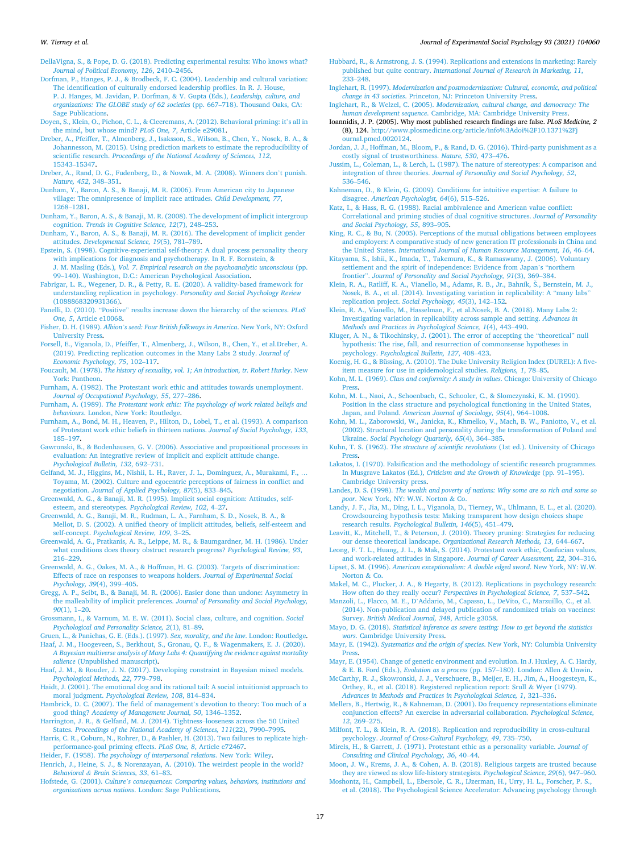#### <span id="page-16-0"></span>*W. Tierney et al.*

- [DellaVigna, S., & Pope, D. G. \(2018\). Predicting experimental results: Who knows what?](http://refhub.elsevier.com/S0022-1031(20)30400-5/rf0160)  *[Journal of Political Economy, 126](http://refhub.elsevier.com/S0022-1031(20)30400-5/rf0160)*, 2410–2456.
- [Dorfman, P., Hanges, P. J., & Brodbeck, F. C. \(2004\). Leadership and cultural variation:](http://refhub.elsevier.com/S0022-1031(20)30400-5/rf0165)  [The identification of culturally endorsed leadership profiles. In R. J. House,](http://refhub.elsevier.com/S0022-1031(20)30400-5/rf0165) [P. J. Hanges, M. Javidan, P. Dorfman, & V. Gupta \(Eds.\),](http://refhub.elsevier.com/S0022-1031(20)30400-5/rf0165) *Leadership, culture, and [organizations: The GLOBE study of 62 societies](http://refhub.elsevier.com/S0022-1031(20)30400-5/rf0165)* (pp. 667–718). Thousand Oaks, CA: [Sage Publications](http://refhub.elsevier.com/S0022-1031(20)30400-5/rf0165).
- [Doyen, S., Klein, O., Pichon, C. L., & Cleeremans, A. \(2012\). Behavioral priming: it](http://refhub.elsevier.com/S0022-1031(20)30400-5/rf0170)'s all in [the mind, but whose mind?](http://refhub.elsevier.com/S0022-1031(20)30400-5/rf0170) *PLoS One, 7*, Article e29081.
- [Dreber, A., Pfeiffer, T., Almenberg, J., Isaksson, S., Wilson, B., Chen, Y., Nosek, B. A., &](http://refhub.elsevier.com/S0022-1031(20)30400-5/rf202011242202042383)  [Johannesson, M. \(2015\). Using prediction markets to estimate the reproducibility of](http://refhub.elsevier.com/S0022-1031(20)30400-5/rf202011242202042383)  scientific research. *[Proceedings of the National Academy of Sciences, 112](http://refhub.elsevier.com/S0022-1031(20)30400-5/rf202011242202042383)*, 15343–[15347.](http://refhub.elsevier.com/S0022-1031(20)30400-5/rf202011242202042383)
- [Dreber, A., Rand, D. G., Fudenberg, D., & Nowak, M. A. \(2008\). Winners don](http://refhub.elsevier.com/S0022-1031(20)30400-5/rf0175)'t punish. *[Nature, 452](http://refhub.elsevier.com/S0022-1031(20)30400-5/rf0175)*, 348–351.
- [Dunham, Y., Baron, A. S., & Banaji, M. R. \(2006\). From American city to Japanese](http://refhub.elsevier.com/S0022-1031(20)30400-5/rf0180)  [village: The omnipresence of implicit race attitudes.](http://refhub.elsevier.com/S0022-1031(20)30400-5/rf0180) *Child Development, 77*, [1268](http://refhub.elsevier.com/S0022-1031(20)30400-5/rf0180)–1281.
- [Dunham, Y., Baron, A. S., & Banaji, M. R. \(2008\). The development of implicit intergroup](http://refhub.elsevier.com/S0022-1031(20)30400-5/rf0185)  cognition. *[Trends in Cognitive Science, 12](http://refhub.elsevier.com/S0022-1031(20)30400-5/rf0185)*(7), 248–253.
- [Dunham, Y., Baron, A. S., & Banaji, M. R. \(2016\). The development of implicit gender](http://refhub.elsevier.com/S0022-1031(20)30400-5/rf0190) attitudes. *[Developmental Science, 19](http://refhub.elsevier.com/S0022-1031(20)30400-5/rf0190)*(5), 781–789.
- [Epstein, S. \(1998\). Cognitive-experiential self-theory: A dual process personality theory](http://refhub.elsevier.com/S0022-1031(20)30400-5/rf0195)  [with implications for diagnosis and psychotherapy. In R. F. Bornstein, &](http://refhub.elsevier.com/S0022-1031(20)30400-5/rf0195)  J. M. Masling (Eds.)*, Vol. 7*. *[Empirical research on the psychoanalytic unconscious](http://refhub.elsevier.com/S0022-1031(20)30400-5/rf0195)* (pp.
- 99–[140\). Washington, D.C.: American Psychological Association](http://refhub.elsevier.com/S0022-1031(20)30400-5/rf0195). [Fabrigar, L. R., Wegener, D. R., & Petty, R. E. \(2020\). A validity-based framework for](http://refhub.elsevier.com/S0022-1031(20)30400-5/rf0200)
- [understanding replication in psychology.](http://refhub.elsevier.com/S0022-1031(20)30400-5/rf0200) *Personality and Social Psychology Review*  [\(1088868320931366\).](http://refhub.elsevier.com/S0022-1031(20)30400-5/rf0200)
- Fanelli, D. (2010). "Positive" [results increase down the hierarchy of the sciences.](http://refhub.elsevier.com/S0022-1031(20)30400-5/rf0205) *PLoS One, 5*[, Article e10068.](http://refhub.elsevier.com/S0022-1031(20)30400-5/rf0205)
- Fisher, D. H. (1989). *Albion'[s seed: Four British folkways in America](http://refhub.elsevier.com/S0022-1031(20)30400-5/rf0210)*. New York, NY: Oxford [University Press](http://refhub.elsevier.com/S0022-1031(20)30400-5/rf0210).
- [Forsell, E., Viganola, D., Pfeiffer, T., Almenberg, J., Wilson, B., Chen, Y., et al.Dreber, A.](http://refhub.elsevier.com/S0022-1031(20)30400-5/rf0215)  [\(2019\). Predicting replication outcomes in the Many Labs 2 study.](http://refhub.elsevier.com/S0022-1031(20)30400-5/rf0215) *Journal of [Economic Psychology, 75](http://refhub.elsevier.com/S0022-1031(20)30400-5/rf0215)*, 102–117.
- Foucault, M. (1978). *[The history of sexuality, vol. 1; An introduction, tr. Robert Hurley](http://refhub.elsevier.com/S0022-1031(20)30400-5/rf0220)*. New [York: Pantheon](http://refhub.elsevier.com/S0022-1031(20)30400-5/rf0220).
- [Furnham, A. \(1982\). The Protestant work ethic and attitudes towards unemployment.](http://refhub.elsevier.com/S0022-1031(20)30400-5/rf0225) *[Journal of Occupational Psychology, 55](http://refhub.elsevier.com/S0022-1031(20)30400-5/rf0225)*, 277–286.
- Furnham, A. (1989). *[The Protestant work ethic: The psychology of work related beliefs and](http://refhub.elsevier.com/S0022-1031(20)30400-5/rf0230)  behaviours*[. London, New York: Routledge.](http://refhub.elsevier.com/S0022-1031(20)30400-5/rf0230)
- [Furnham, A., Bond, M. H., Heaven, P., Hilton, D., Lobel, T., et al. \(1993\). A comparison](http://refhub.elsevier.com/S0022-1031(20)30400-5/rf0235)  [of Protestant work ethic beliefs in thirteen nations.](http://refhub.elsevier.com/S0022-1031(20)30400-5/rf0235) *Journal of Social Psychology, 133*, 185–[197](http://refhub.elsevier.com/S0022-1031(20)30400-5/rf0235).
- [Gawronski, B., & Bodenhausen, G. V. \(2006\). Associative and propositional processes in](http://refhub.elsevier.com/S0022-1031(20)30400-5/rf0240)  [evaluation: An integrative review of implicit and explicit attitude change.](http://refhub.elsevier.com/S0022-1031(20)30400-5/rf0240) *[Psychological Bulletin, 132](http://refhub.elsevier.com/S0022-1031(20)30400-5/rf0240)*, 692–731.
- [Gelfand, M. J., Higgins, M., Nishii, L. H., Raver, J. L., Dominguez, A., Murakami, F.,](http://refhub.elsevier.com/S0022-1031(20)30400-5/rf0245) … [Toyama, M. \(2002\). Culture and egocentric perceptions of fairness in conflict and](http://refhub.elsevier.com/S0022-1031(20)30400-5/rf0245)  negotiation. *[Journal of Applied Psychology, 87](http://refhub.elsevier.com/S0022-1031(20)30400-5/rf0245)*(5), 833–845.
- [Greenwald, A. G., & Banaji, M. R. \(1995\). Implicit social cognition: Attitudes, self](http://refhub.elsevier.com/S0022-1031(20)30400-5/rf0250)esteem, and stereotypes. *[Psychological Review, 102](http://refhub.elsevier.com/S0022-1031(20)30400-5/rf0250)*, 4–27.
- [Greenwald, A. G., Banaji, M. R., Rudman, L. A., Farnham, S. D., Nosek, B. A., &](http://refhub.elsevier.com/S0022-1031(20)30400-5/rf0255)  [Mellot, D. S. \(2002\). A unified theory of implicit attitudes, beliefs, self-esteem and](http://refhub.elsevier.com/S0022-1031(20)30400-5/rf0255) self-concept. *[Psychological Review, 109](http://refhub.elsevier.com/S0022-1031(20)30400-5/rf0255)*, 3–25.
- [Greenwald, A. G., Pratkanis, A. R., Leippe, M. R., & Baumgardner, M. H. \(1986\). Under](http://refhub.elsevier.com/S0022-1031(20)30400-5/rf0260)  [what conditions does theory obstruct research progress?](http://refhub.elsevier.com/S0022-1031(20)30400-5/rf0260) *Psychological Review, 93*, 216–[229](http://refhub.elsevier.com/S0022-1031(20)30400-5/rf0260).
- [Greenwald, A. G., Oakes, M. A., & Hoffman, H. G. \(2003\). Targets of discrimination:](http://refhub.elsevier.com/S0022-1031(20)30400-5/rf9000) [Effects of race on responses to weapons holders.](http://refhub.elsevier.com/S0022-1031(20)30400-5/rf9000) *Journal of Experimental Social [Psychology, 39](http://refhub.elsevier.com/S0022-1031(20)30400-5/rf9000)*(4), 399–405.
- [Gregg, A. P., Seibt, B., & Banaji, M. R. \(2006\). Easier done than undone: Asymmetry in](http://refhub.elsevier.com/S0022-1031(20)30400-5/rf0265)  the malleability of implicit preferences. *[Journal of Personality and Social Psychology,](http://refhub.elsevier.com/S0022-1031(20)30400-5/rf0265)  90*[\(1\), 1](http://refhub.elsevier.com/S0022-1031(20)30400-5/rf0265)–20.
- [Grossmann, I., & Varnum, M. E. W. \(2011\). Social class, culture, and cognition.](http://refhub.elsevier.com/S0022-1031(20)30400-5/rf0270) *Social [Psychological and Personality Science, 2](http://refhub.elsevier.com/S0022-1031(20)30400-5/rf0270)*(1), 81–89.
- [Gruen, L., & Panichas, G. E. \(Eds.\). \(1997\).](http://refhub.elsevier.com/S0022-1031(20)30400-5/rf0275) *Sex, morality, and the law*. London: Routledge. [Haaf, J. M., Hoogeveen, S., Berkhout, S., Gronau, Q. F., & Wagenmakers, E. J. \(2020\).](http://refhub.elsevier.com/S0022-1031(20)30400-5/rf0280) *[A Bayesian multiverse analysis of Many Labs 4: Quantifying the evidence against mortality](http://refhub.elsevier.com/S0022-1031(20)30400-5/rf0280)  salience* [\(Unpublished manuscript\).](http://refhub.elsevier.com/S0022-1031(20)30400-5/rf0280)
- [Haaf, J. M., & Rouder, J. N. \(2017\). Developing constraint in Bayesian mixed models.](http://refhub.elsevier.com/S0022-1031(20)30400-5/rf0285)  *[Psychological Methods, 22](http://refhub.elsevier.com/S0022-1031(20)30400-5/rf0285)*, 779–798.
- [Haidt, J. \(2001\). The emotional dog and its rational tail: A social intuitionist approach to](http://refhub.elsevier.com/S0022-1031(20)30400-5/rf0290)  moral judgment. *[Psychological Review, 108](http://refhub.elsevier.com/S0022-1031(20)30400-5/rf0290)*, 814–834.
- [Hambrick, D. C. \(2007\). The field of management](http://refhub.elsevier.com/S0022-1031(20)30400-5/rf0295)'s devotion to theory: Too much of a good thing? *[Academy of Management Journal, 50](http://refhub.elsevier.com/S0022-1031(20)30400-5/rf0295)*, 1346–1352.
- [Harrington, J. R., & Gelfand, M. J. \(2014\). Tightness](http://refhub.elsevier.com/S0022-1031(20)30400-5/rf0300)–looseness across the 50 United States. *[Proceedings of the National Academy of Sciences, 111](http://refhub.elsevier.com/S0022-1031(20)30400-5/rf0300)*(22), 7990–7995.
- [Harris, C. R., Coburn, N., Rohrer, D., & Pashler, H. \(2013\). Two failures to replicate high](http://refhub.elsevier.com/S0022-1031(20)30400-5/rf0305)[performance-goal priming effects.](http://refhub.elsevier.com/S0022-1031(20)30400-5/rf0305) *PLoS One, 8*, Article e72467.
- Heider, F. (1958). *[The psychology of interpersonal relations](http://refhub.elsevier.com/S0022-1031(20)30400-5/rf0310)*. New York: Wiley.
- [Henrich, J., Heine, S. J., & Norenzayan, A. \(2010\). The weirdest people in the world?](http://refhub.elsevier.com/S0022-1031(20)30400-5/rf0315)  *Behavioral & [Brain Sciences, 33](http://refhub.elsevier.com/S0022-1031(20)30400-5/rf0315)*, 61–83.
- Hofstede, G. (2001). *Culture'[s consequences: Comparing values, behaviors, institutions and](http://refhub.elsevier.com/S0022-1031(20)30400-5/rf0320)  organizations across nations*[. London: Sage Publications.](http://refhub.elsevier.com/S0022-1031(20)30400-5/rf0320)
- [Hubbard, R., & Armstrong, J. S. \(1994\). Replications and extensions in marketing: Rarely](http://refhub.elsevier.com/S0022-1031(20)30400-5/rf0325)  published but quite contrary. *[International Journal of Research in Marketing, 11](http://refhub.elsevier.com/S0022-1031(20)30400-5/rf0325)*, 233–[248](http://refhub.elsevier.com/S0022-1031(20)30400-5/rf0325).
- Inglehart, R. (1997). *[Modernization and postmodernization: Cultural, economic, and political](http://refhub.elsevier.com/S0022-1031(20)30400-5/rf0330)  change in 43 societies*[. Princeton, NJ: Princeton University Press](http://refhub.elsevier.com/S0022-1031(20)30400-5/rf0330).
- Inglehart, R., & Welzel, C. (2005). *[Modernization, cultural change, and democracy: The](http://refhub.elsevier.com/S0022-1031(20)30400-5/rf0335)  human development sequence*. Cambridge, MA: Cambridge University Pre
- Ioannidis, J. P. (2005). Why most published research findings are false. *PLoS Medicine, 2*  (8), 124. [http://www.plosmedicine.org/article/info%3Adoi%2F10.1371%2Fj](http://www.plosmedicine.org/article/info%3Adoi%2F10.1371%2Fjournal.pmed.0020124)  [ournal.pmed.0020124](http://www.plosmedicine.org/article/info%3Adoi%2F10.1371%2Fjournal.pmed.0020124).
- [Jordan, J. J., Hoffman, M., Bloom, P., & Rand, D. G. \(2016\). Third-party punishment as a](http://refhub.elsevier.com/S0022-1031(20)30400-5/rf0345)  [costly signal of trustworthiness.](http://refhub.elsevier.com/S0022-1031(20)30400-5/rf0345) *Nature, 530*, 473–476.
- [Jussim, L., Coleman, L., & Lerch, L. \(1987\). The nature of stereotypes: A comparison and](http://refhub.elsevier.com/S0022-1031(20)30400-5/rf0350)  integration of three theories. *[Journal of Personality and Social Psychology, 52](http://refhub.elsevier.com/S0022-1031(20)30400-5/rf0350)*, 536–[546](http://refhub.elsevier.com/S0022-1031(20)30400-5/rf0350).
- [Kahneman, D., & Klein, G. \(2009\). Conditions for intuitive expertise: A failure to](http://refhub.elsevier.com/S0022-1031(20)30400-5/rf0355)  disagree. *[American Psychologist, 64](http://refhub.elsevier.com/S0022-1031(20)30400-5/rf0355)*(6), 515–526.
- [Katz, I., & Hass, R. G. \(1988\). Racial ambivalence and American value conflict:](http://refhub.elsevier.com/S0022-1031(20)30400-5/rf0360)  [Correlational and priming studies of dual cognitive structures.](http://refhub.elsevier.com/S0022-1031(20)30400-5/rf0360) *Journal of Personality [and Social Psychology, 55](http://refhub.elsevier.com/S0022-1031(20)30400-5/rf0360)*, 893–905.
- [King, R. C., & Bu, N. \(2005\). Perceptions of the mutual obligations between employees](http://refhub.elsevier.com/S0022-1031(20)30400-5/rf0365) [and employers: A comparative study of new generation IT professionals in China and](http://refhub.elsevier.com/S0022-1031(20)30400-5/rf0365)  the United States. *[International Journal of Human Resource Management, 16](http://refhub.elsevier.com/S0022-1031(20)30400-5/rf0365)*, 46–64.
- [Kitayama, S., Ishii, K., Imada, T., Takemura, K., & Ramaswamy, J. \(2006\). Voluntary](http://refhub.elsevier.com/S0022-1031(20)30400-5/rf0370) [settlement and the spirit of independence: Evidence from Japan](http://refhub.elsevier.com/S0022-1031(20)30400-5/rf0370)'s "northern frontier". *[Journal of Personality and Social Psychology, 91](http://refhub.elsevier.com/S0022-1031(20)30400-5/rf0370)*(3), 369–384.
- Klein, R. A., Ratliff, K. A., Vianello, M., Adams, R. B., Jr., Bahník, Š., Bernstein, M. J., [Nosek, B. A., et al. \(2014\). Investigating variation in replicability: A](http://refhub.elsevier.com/S0022-1031(20)30400-5/rf0375) "many labs" replication project. *[Social Psychology, 45](http://refhub.elsevier.com/S0022-1031(20)30400-5/rf0375)*(3), 142–152.
- [Klein, R. A., Vianello, M., Hasselman, F., et al.Nosek, B. A. \(2018\). Many Labs 2:](http://refhub.elsevier.com/S0022-1031(20)30400-5/rf0380)  [Investigating variation in replicability across sample and setting.](http://refhub.elsevier.com/S0022-1031(20)30400-5/rf0380) *Advances in [Methods and Practices in Psychological Science, 1](http://refhub.elsevier.com/S0022-1031(20)30400-5/rf0380)*(4), 443–490.
- [Kluger, A. N., & Tikochinsky, J. \(2001\). The error of accepting the](http://refhub.elsevier.com/S0022-1031(20)30400-5/rf0385) "theoretical" null [hypothesis: The rise, fall, and resurrection of commonsense hypotheses in](http://refhub.elsevier.com/S0022-1031(20)30400-5/rf0385)  psychology. *[Psychological Bulletin, 127](http://refhub.elsevier.com/S0022-1031(20)30400-5/rf0385)*, 408–423.
- [Koenig, H. G., & Büssing, A. \(2010\). The Duke University Religion Index \(DUREL\): A five](http://refhub.elsevier.com/S0022-1031(20)30400-5/rf0390)[item measure for use in epidemological studies.](http://refhub.elsevier.com/S0022-1031(20)30400-5/rf0390) *Religions, 1*, 78–85.
- Kohn, M. L. (1969). *[Class and conformity: A study in values](http://refhub.elsevier.com/S0022-1031(20)30400-5/rf0395)*. Chicago: University of Chicago **Press**
- [Kohn, M. L., Naoi, A., Schoenbach, C., Schooler, C., & Slomczynski, K. M. \(1990\).](http://refhub.elsevier.com/S0022-1031(20)30400-5/rf0400) [Position in the class structure and psychological functioning in the United States,](http://refhub.elsevier.com/S0022-1031(20)30400-5/rf0400)
- Japan, and Poland. *[American Journal of Sociology, 95](http://refhub.elsevier.com/S0022-1031(20)30400-5/rf0400)*(4), 964–1008. [Kohn, M. L., Zaborowski, W., Janicka, K., Khmelko, V., Mach, B. W., Paniotto, V., et al.](http://refhub.elsevier.com/S0022-1031(20)30400-5/rf0405)  [\(2002\). Structural location and personality during the transformation of Poland and](http://refhub.elsevier.com/S0022-1031(20)30400-5/rf0405)  Ukraine. *[Social Psychology Quarterly, 65](http://refhub.elsevier.com/S0022-1031(20)30400-5/rf0405)*(4), 364–385.
- Kuhn, T. S. (1962). *[The structure of scientific revolutions](http://refhub.elsevier.com/S0022-1031(20)30400-5/rf0410)* (1st ed.). University of Chicago [Press.](http://refhub.elsevier.com/S0022-1031(20)30400-5/rf0410)
- [Lakatos, I. \(1970\). Falsification and the methodology of scientific research programmes.](http://refhub.elsevier.com/S0022-1031(20)30400-5/rf202011242206357503)  In Musgrave Lakatos (Ed.), *[Criticism and the Growth of Knowledge](http://refhub.elsevier.com/S0022-1031(20)30400-5/rf202011242206357503)* (pp. 91–195). [Cambridge University press.](http://refhub.elsevier.com/S0022-1031(20)30400-5/rf202011242206357503)
- Landes, D. S. (1998). *[The wealth and poverty of nations: Why some are so rich and some so](http://refhub.elsevier.com/S0022-1031(20)30400-5/rf0415)  poor*[. New York, NY: W.W. Norton](http://refhub.elsevier.com/S0022-1031(20)30400-5/rf0415) & Co.
- [Landy, J. F., Jia, M., Ding, I. L., Viganola, D., Tierney, W., Uhlmann, E. L., et al. \(2020\).](http://refhub.elsevier.com/S0022-1031(20)30400-5/rf0420)  [Crowdsourcing hypothesis tests: Making transparent how design choices shape](http://refhub.elsevier.com/S0022-1031(20)30400-5/rf0420)  research results. *[Psychological Bulletin, 146](http://refhub.elsevier.com/S0022-1031(20)30400-5/rf0420)*(5), 451–479.
- [Leavitt, K., Mitchell, T., & Peterson, J. \(2010\). Theory pruning: Strategies for reducing](http://refhub.elsevier.com/S0022-1031(20)30400-5/rf0425)  our dense theoretical landscape. *[Organizational Research Methods, 13](http://refhub.elsevier.com/S0022-1031(20)30400-5/rf0425)*, 644–667.
- [Leong, F. T. L., Huang, J. L., & Mak, S. \(2014\). Protestant work ethic, Confucian values,](http://refhub.elsevier.com/S0022-1031(20)30400-5/rf0430)  [and work-related attitudes in Singapore.](http://refhub.elsevier.com/S0022-1031(20)30400-5/rf0430) *Journal of Career Assessment, 22*, 304–316.
- Lipset, S. M. (1996). *[American exceptionalism: A double edged sword](http://refhub.elsevier.com/S0022-1031(20)30400-5/rf0435)*. New York, NY: W.W. [Norton](http://refhub.elsevier.com/S0022-1031(20)30400-5/rf0435) & Co.
- [Makel, M. C., Plucker, J. A., & Hegarty, B. \(2012\). Replications in psychology research:](http://refhub.elsevier.com/S0022-1031(20)30400-5/rf0440)  How often do they really occur? *[Perspectives in Psychological Science, 7](http://refhub.elsevier.com/S0022-1031(20)30400-5/rf0440)*, 537–542.
- Manzoli, L., Flacco, M. E., D'[Addario, M., Capasso, L., DeVito, C., Marzuillo, C., et al.](http://refhub.elsevier.com/S0022-1031(20)30400-5/rf0445) [\(2014\). Non-publication and delayed publication of randomized trials on vaccines:](http://refhub.elsevier.com/S0022-1031(20)30400-5/rf0445)  Survey. *[British Medical Journal, 348](http://refhub.elsevier.com/S0022-1031(20)30400-5/rf0445)*, Article g3058.
- Mayo, D. G. (2018). *[Statistical inference as severe testing: How to get beyond the statistics](http://refhub.elsevier.com/S0022-1031(20)30400-5/rf0450)  wars*[. Cambridge University Press](http://refhub.elsevier.com/S0022-1031(20)30400-5/rf0450).
- Mayr, E. (1942). *Systematics and the origin of species*[. New York, NY: Columbia University](http://refhub.elsevier.com/S0022-1031(20)30400-5/rf0455)  **Press**
- [Mayr, E. \(1954\). Change of genetic environment and evolution. In J. Huxley, A. C. Hardy,](http://refhub.elsevier.com/S0022-1031(20)30400-5/rf0460)  & E. B. Ford (Eds.), *[Evolution as a process](http://refhub.elsevier.com/S0022-1031(20)30400-5/rf0460)* (pp. 157–180). London: Allen & Unwin.
- [McCarthy, R. J., Skowronski, J. J., Verschuere, B., Meijer, E. H., Jim, A., Hoogesteyn, K.,](http://refhub.elsevier.com/S0022-1031(20)30400-5/rf0465)  [Orthey, R., et al. \(2018\). Registered replication report: Srull](http://refhub.elsevier.com/S0022-1031(20)30400-5/rf0465) & Wyer (1979). *[Advances in Methods and Practices in Psychological Science, 1](http://refhub.elsevier.com/S0022-1031(20)30400-5/rf0465)*, 321–336.
- [Mellers, B., Hertwig, R., & Kahneman, D. \(2001\). Do frequency representations eliminate](http://refhub.elsevier.com/S0022-1031(20)30400-5/rf0470)  [conjunction effects? An exercise in adversarial collaboration.](http://refhub.elsevier.com/S0022-1031(20)30400-5/rf0470) *Psychological Science, 12*[, 269](http://refhub.elsevier.com/S0022-1031(20)30400-5/rf0470)–275.
- [Milfont, T. L., & Klein, R. A. \(2018\). Replication and reproducibility in cross-cultural](http://refhub.elsevier.com/S0022-1031(20)30400-5/rf0475) psychology. *[Journal of Cross-Cultural Psychology, 49](http://refhub.elsevier.com/S0022-1031(20)30400-5/rf0475)*, 735–750.
- [Mirels, H., & Garrett, J. \(1971\). Protestant ethic as a personality variable.](http://refhub.elsevier.com/S0022-1031(20)30400-5/rf0480) *Journal of [Consulting and Clinical Psychology, 36](http://refhub.elsevier.com/S0022-1031(20)30400-5/rf0480)*, 40–44.
- [Moon, J. W., Krems, J. A., & Cohen, A. B. \(2018\). Religious targets are trusted because](http://refhub.elsevier.com/S0022-1031(20)30400-5/rf0485)  [they are viewed as slow life-history strategists.](http://refhub.elsevier.com/S0022-1031(20)30400-5/rf0485) *Psychological Science, 29*(6), 947–960.
- [Moshontz, H., Campbell, L., Ebersole, C. R., IJzerman, H., Urry, H. L., Forscher, P. S.,](http://refhub.elsevier.com/S0022-1031(20)30400-5/rf0490) [et al. \(2018\). The Psychological Science Accelerator: Advancing psychology through](http://refhub.elsevier.com/S0022-1031(20)30400-5/rf0490)